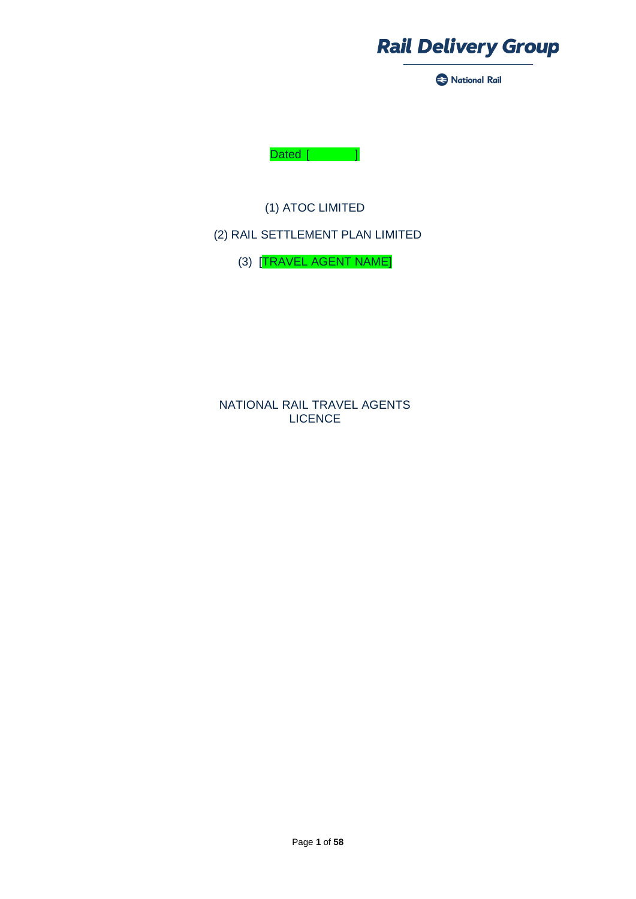

National Rail



(1) ATOC LIMITED

## (2) RAIL SETTLEMENT PLAN LIMITED

(3) [TRAVEL AGENT NAME]

NATIONAL RAIL TRAVEL AGENTS LICENCE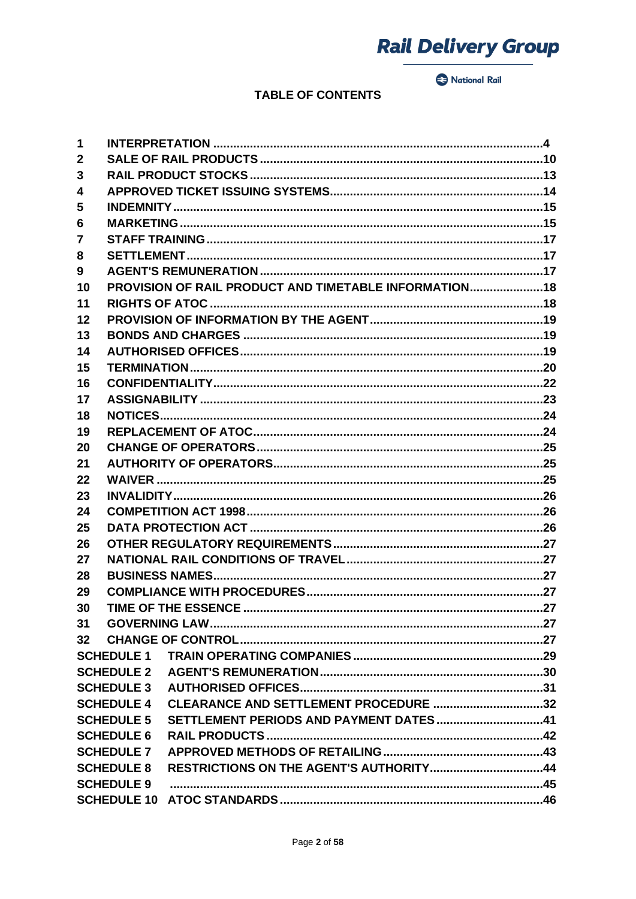National Rail

## **TABLE OF CONTENTS**

| 1                 |                   |                                                        |  |
|-------------------|-------------------|--------------------------------------------------------|--|
| $\mathbf{2}$      |                   |                                                        |  |
| 3                 |                   |                                                        |  |
| 4                 |                   |                                                        |  |
| 5                 |                   |                                                        |  |
| 6                 |                   |                                                        |  |
| $\overline{7}$    |                   |                                                        |  |
| 8                 |                   |                                                        |  |
| 9                 |                   |                                                        |  |
| 10                |                   | PROVISION OF RAIL PRODUCT AND TIMETABLE INFORMATION 18 |  |
| 11                |                   |                                                        |  |
| 12                |                   |                                                        |  |
| 13                |                   |                                                        |  |
| 14                |                   |                                                        |  |
| 15                |                   |                                                        |  |
| 16                |                   |                                                        |  |
| 17                |                   |                                                        |  |
| 18                |                   |                                                        |  |
| 19                |                   |                                                        |  |
| 20                |                   |                                                        |  |
| 21                |                   |                                                        |  |
| 22                |                   |                                                        |  |
| 23                |                   |                                                        |  |
| 24                |                   |                                                        |  |
| 25                |                   |                                                        |  |
| 26                |                   |                                                        |  |
| 27                |                   |                                                        |  |
| 28                |                   |                                                        |  |
| 29                |                   |                                                        |  |
| 30                |                   |                                                        |  |
| 31                |                   |                                                        |  |
| 32 <sub>2</sub>   |                   |                                                        |  |
|                   | <b>SCHEDULE 1</b> |                                                        |  |
|                   | <b>SCHEDULE 2</b> |                                                        |  |
|                   | <b>SCHEDULE 3</b> |                                                        |  |
|                   | <b>SCHEDULE 4</b> | CLEARANCE AND SETTLEMENT PROCEDURE 32                  |  |
|                   | <b>SCHEDULE 5</b> | SETTLEMENT PERIODS AND PAYMENT DATES41                 |  |
| <b>SCHEDULE 6</b> |                   |                                                        |  |
|                   | <b>SCHEDULE 7</b> |                                                        |  |
|                   | <b>SCHEDULE 8</b> | RESTRICTIONS ON THE AGENT'S AUTHORITY44                |  |
| <b>SCHEDULE 9</b> |                   |                                                        |  |
|                   |                   |                                                        |  |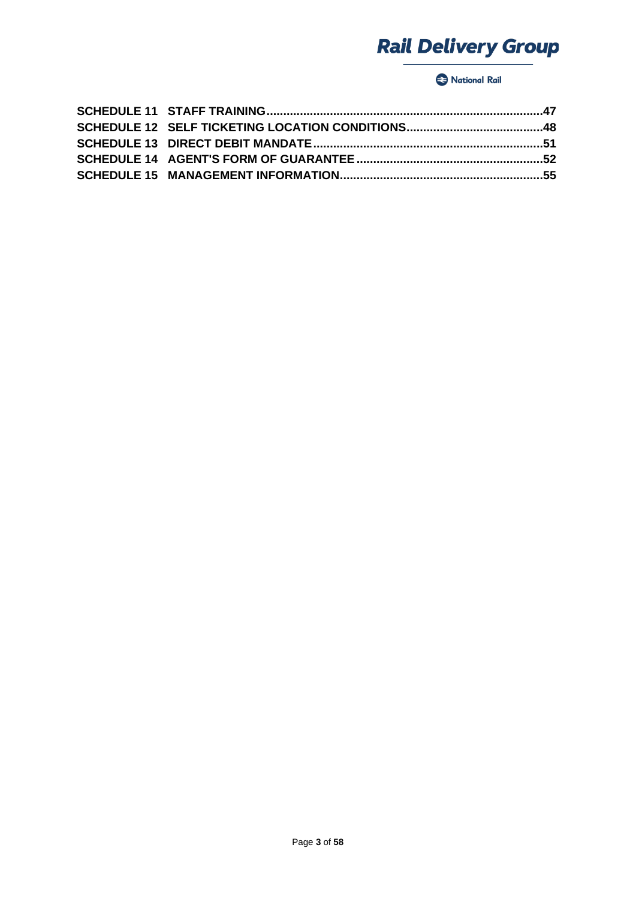## National Rail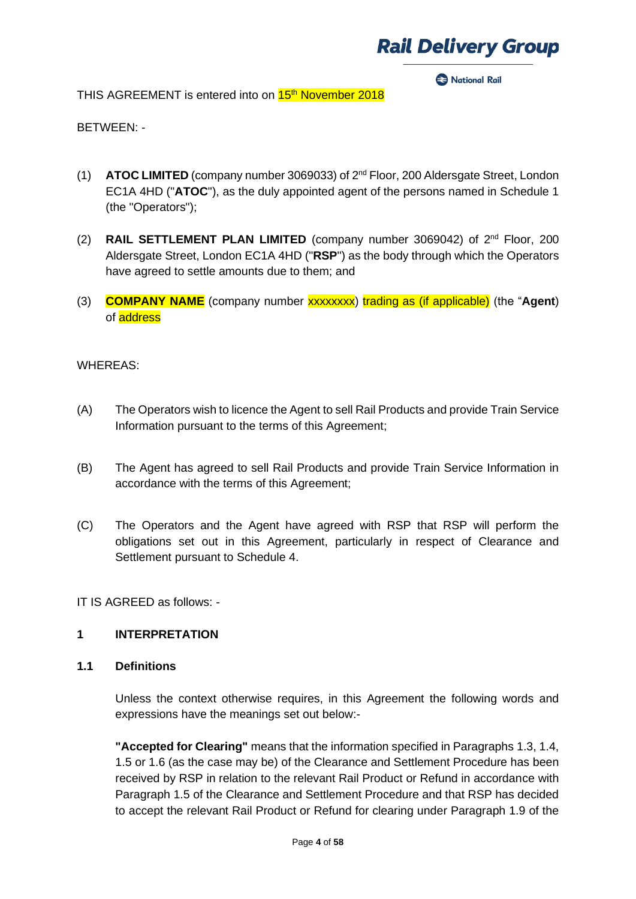**Racional Rail** 

THIS AGREEMENT is entered into on 15<sup>th</sup> November 2018

BETWEEN: -

- (1) **ATOC LIMITED** (company number 3069033) of 2<sup>nd</sup> Floor, 200 Aldersgate Street, London EC1A 4HD ("**ATOC**"), as the duly appointed agent of the persons named in Schedule 1 (the "Operators");
- (2) **RAIL SETTLEMENT PLAN LIMITED** (company number 3069042) of  $2^{nd}$  Floor, 200 Aldersgate Street, London EC1A 4HD ("**RSP**") as the body through which the Operators have agreed to settle amounts due to them; and
- (3) **COMPANY NAME** (company number xxxxxxxx) trading as (if applicable) (the "**Agent**) of address

### WHEREAS:

- (A) The Operators wish to licence the Agent to sell Rail Products and provide Train Service Information pursuant to the terms of this Agreement;
- (B) The Agent has agreed to sell Rail Products and provide Train Service Information in accordance with the terms of this Agreement;
- (C) The Operators and the Agent have agreed with RSP that RSP will perform the obligations set out in this Agreement, particularly in respect of Clearance and Settlement pursuant to Schedule 4.

IT IS AGREED as follows: -

#### **1 INTERPRETATION**

**1.1 Definitions**

Unless the context otherwise requires, in this Agreement the following words and expressions have the meanings set out below:-

**"Accepted for Clearing"** means that the information specified in Paragraphs 1.3, 1.4, 1.5 or 1.6 (as the case may be) of the Clearance and Settlement Procedure has been received by RSP in relation to the relevant Rail Product or Refund in accordance with Paragraph 1.5 of the Clearance and Settlement Procedure and that RSP has decided to accept the relevant Rail Product or Refund for clearing under Paragraph 1.9 of the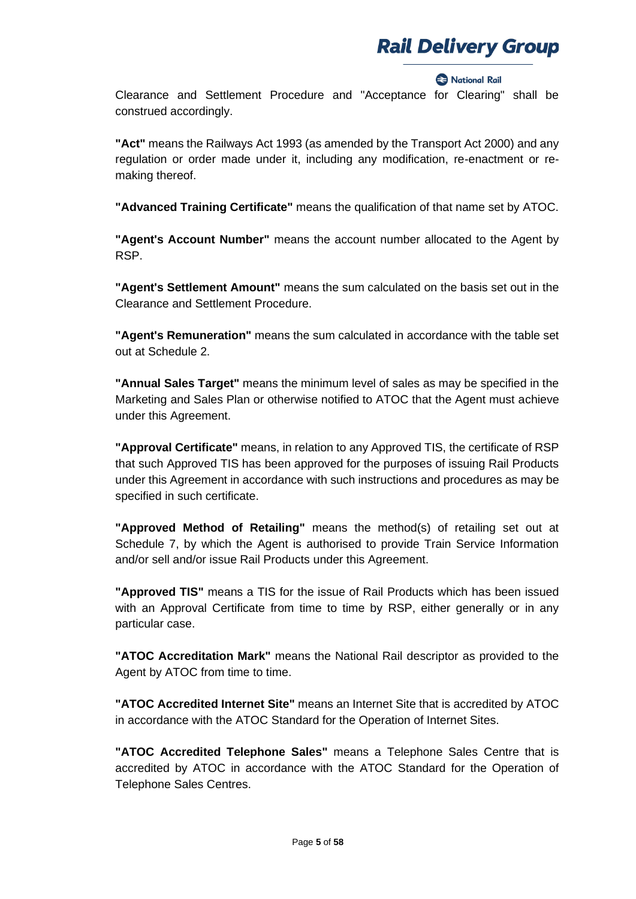#### **2** National Rail

Clearance and Settlement Procedure and "Acceptance for Clearing" shall be construed accordingly.

**"Act"** means the Railways Act 1993 (as amended by the Transport Act 2000) and any regulation or order made under it, including any modification, re-enactment or remaking thereof.

**"Advanced Training Certificate"** means the qualification of that name set by ATOC.

**"Agent's Account Number"** means the account number allocated to the Agent by RSP.

**"Agent's Settlement Amount"** means the sum calculated on the basis set out in the Clearance and Settlement Procedure.

**"Agent's Remuneration"** means the sum calculated in accordance with the table set out at Schedule 2.

**"Annual Sales Target"** means the minimum level of sales as may be specified in the Marketing and Sales Plan or otherwise notified to ATOC that the Agent must achieve under this Agreement.

**"Approval Certificate"** means, in relation to any Approved TIS, the certificate of RSP that such Approved TIS has been approved for the purposes of issuing Rail Products under this Agreement in accordance with such instructions and procedures as may be specified in such certificate.

**"Approved Method of Retailing"** means the method(s) of retailing set out at Schedule 7, by which the Agent is authorised to provide Train Service Information and/or sell and/or issue Rail Products under this Agreement.

**"Approved TIS"** means a TIS for the issue of Rail Products which has been issued with an Approval Certificate from time to time by RSP, either generally or in any particular case.

**"ATOC Accreditation Mark"** means the National Rail descriptor as provided to the Agent by ATOC from time to time.

**"ATOC Accredited Internet Site"** means an Internet Site that is accredited by ATOC in accordance with the ATOC Standard for the Operation of Internet Sites.

**"ATOC Accredited Telephone Sales"** means a Telephone Sales Centre that is accredited by ATOC in accordance with the ATOC Standard for the Operation of Telephone Sales Centres.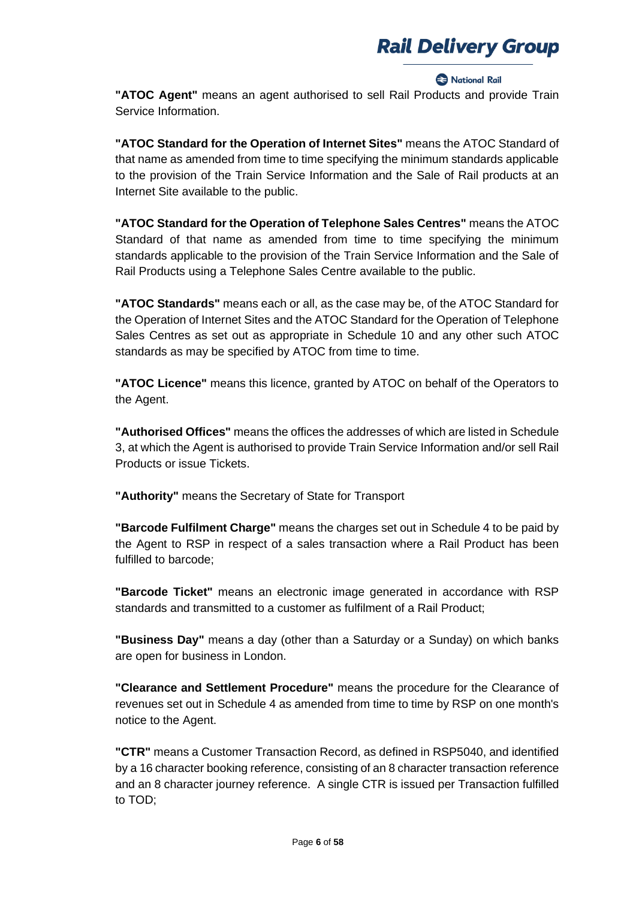#### **Racional Rail**

**"ATOC Agent"** means an agent authorised to sell Rail Products and provide Train Service Information.

**"ATOC Standard for the Operation of Internet Sites"** means the ATOC Standard of that name as amended from time to time specifying the minimum standards applicable to the provision of the Train Service Information and the Sale of Rail products at an Internet Site available to the public.

**"ATOC Standard for the Operation of Telephone Sales Centres"** means the ATOC Standard of that name as amended from time to time specifying the minimum standards applicable to the provision of the Train Service Information and the Sale of Rail Products using a Telephone Sales Centre available to the public.

**"ATOC Standards"** means each or all, as the case may be, of the ATOC Standard for the Operation of Internet Sites and the ATOC Standard for the Operation of Telephone Sales Centres as set out as appropriate in Schedule 10 and any other such ATOC standards as may be specified by ATOC from time to time.

**"ATOC Licence"** means this licence, granted by ATOC on behalf of the Operators to the Agent.

**"Authorised Offices"** means the offices the addresses of which are listed in Schedule 3, at which the Agent is authorised to provide Train Service Information and/or sell Rail Products or issue Tickets.

**"Authority"** means the Secretary of State for Transport

**"Barcode Fulfilment Charge"** means the charges set out in Schedule 4 to be paid by the Agent to RSP in respect of a sales transaction where a Rail Product has been fulfilled to barcode;

**"Barcode Ticket"** means an electronic image generated in accordance with RSP standards and transmitted to a customer as fulfilment of a Rail Product;

**"Business Day"** means a day (other than a Saturday or a Sunday) on which banks are open for business in London.

**"Clearance and Settlement Procedure"** means the procedure for the Clearance of revenues set out in Schedule 4 as amended from time to time by RSP on one month's notice to the Agent.

**"CTR"** means a Customer Transaction Record, as defined in RSP5040, and identified by a 16 character booking reference, consisting of an 8 character transaction reference and an 8 character journey reference. A single CTR is issued per Transaction fulfilled to TOD;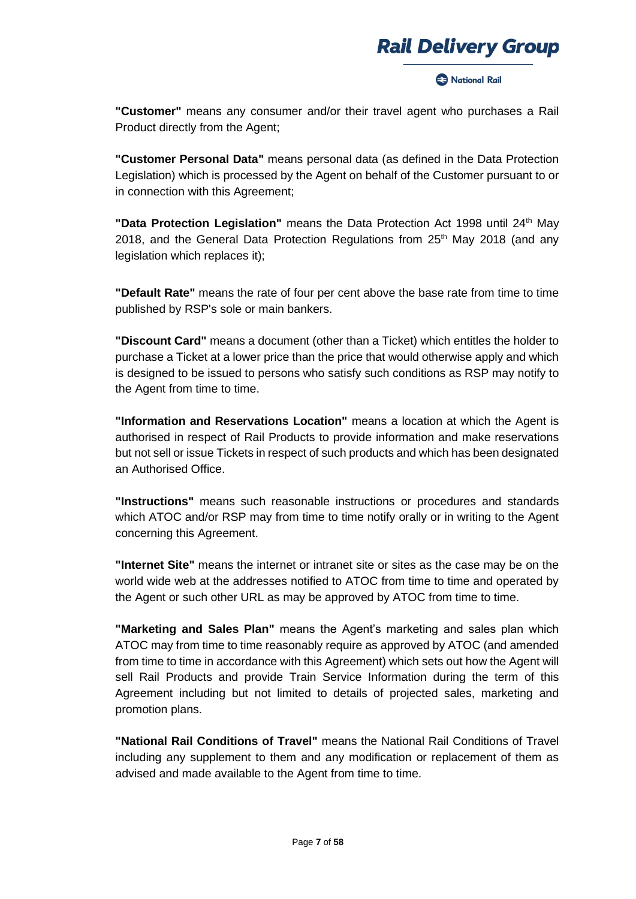#### **Racional Rail**

**"Customer"** means any consumer and/or their travel agent who purchases a Rail Product directly from the Agent;

**"Customer Personal Data"** means personal data (as defined in the Data Protection Legislation) which is processed by the Agent on behalf of the Customer pursuant to or in connection with this Agreement;

**"Data Protection Legislation"** means the Data Protection Act 1998 until 24th May 2018, and the General Data Protection Regulations from  $25<sup>th</sup>$  May 2018 (and any legislation which replaces it);

**"Default Rate"** means the rate of four per cent above the base rate from time to time published by RSP's sole or main bankers.

**"Discount Card"** means a document (other than a Ticket) which entitles the holder to purchase a Ticket at a lower price than the price that would otherwise apply and which is designed to be issued to persons who satisfy such conditions as RSP may notify to the Agent from time to time.

**"Information and Reservations Location"** means a location at which the Agent is authorised in respect of Rail Products to provide information and make reservations but not sell or issue Tickets in respect of such products and which has been designated an Authorised Office.

**"Instructions"** means such reasonable instructions or procedures and standards which ATOC and/or RSP may from time to time notify orally or in writing to the Agent concerning this Agreement.

**"Internet Site"** means the internet or intranet site or sites as the case may be on the world wide web at the addresses notified to ATOC from time to time and operated by the Agent or such other URL as may be approved by ATOC from time to time.

**"Marketing and Sales Plan"** means the Agent's marketing and sales plan which ATOC may from time to time reasonably require as approved by ATOC (and amended from time to time in accordance with this Agreement) which sets out how the Agent will sell Rail Products and provide Train Service Information during the term of this Agreement including but not limited to details of projected sales, marketing and promotion plans.

**"National Rail Conditions of Travel"** means the National Rail Conditions of Travel including any supplement to them and any modification or replacement of them as advised and made available to the Agent from time to time.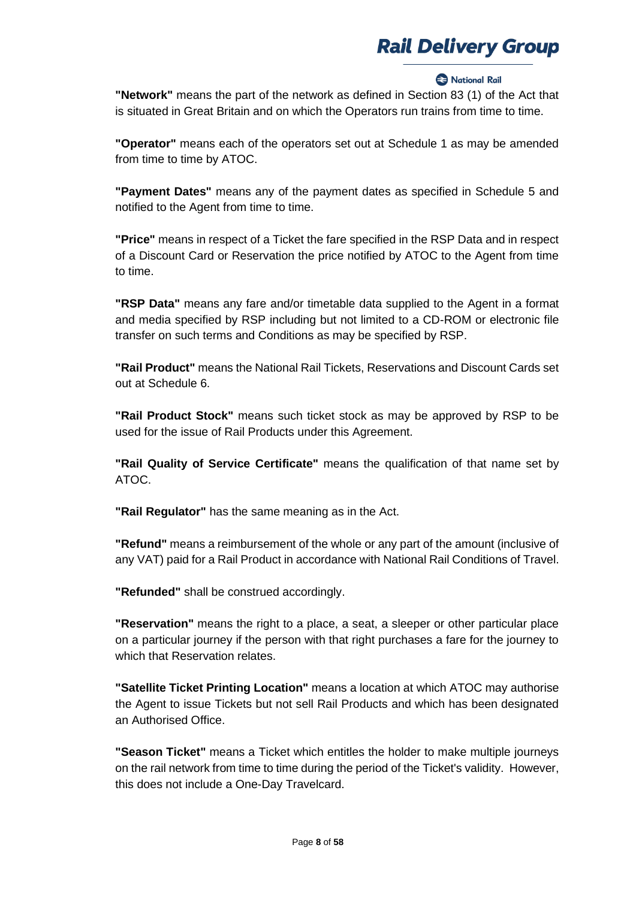#### **Rational Rail**

**"Network"** means the part of the network as defined in Section 83 (1) of the Act that is situated in Great Britain and on which the Operators run trains from time to time.

**"Operator"** means each of the operators set out at Schedule 1 as may be amended from time to time by ATOC.

**"Payment Dates"** means any of the payment dates as specified in Schedule 5 and notified to the Agent from time to time.

**"Price"** means in respect of a Ticket the fare specified in the RSP Data and in respect of a Discount Card or Reservation the price notified by ATOC to the Agent from time to time.

**"RSP Data"** means any fare and/or timetable data supplied to the Agent in a format and media specified by RSP including but not limited to a CD-ROM or electronic file transfer on such terms and Conditions as may be specified by RSP.

**"Rail Product"** means the National Rail Tickets, Reservations and Discount Cards set out at Schedule 6.

**"Rail Product Stock"** means such ticket stock as may be approved by RSP to be used for the issue of Rail Products under this Agreement.

**"Rail Quality of Service Certificate"** means the qualification of that name set by ATOC.

**"Rail Regulator"** has the same meaning as in the Act.

**"Refund"** means a reimbursement of the whole or any part of the amount (inclusive of any VAT) paid for a Rail Product in accordance with National Rail Conditions of Travel.

**"Refunded"** shall be construed accordingly.

**"Reservation"** means the right to a place, a seat, a sleeper or other particular place on a particular journey if the person with that right purchases a fare for the journey to which that Reservation relates.

**"Satellite Ticket Printing Location"** means a location at which ATOC may authorise the Agent to issue Tickets but not sell Rail Products and which has been designated an Authorised Office.

**"Season Ticket"** means a Ticket which entitles the holder to make multiple journeys on the rail network from time to time during the period of the Ticket's validity. However, this does not include a One-Day Travelcard.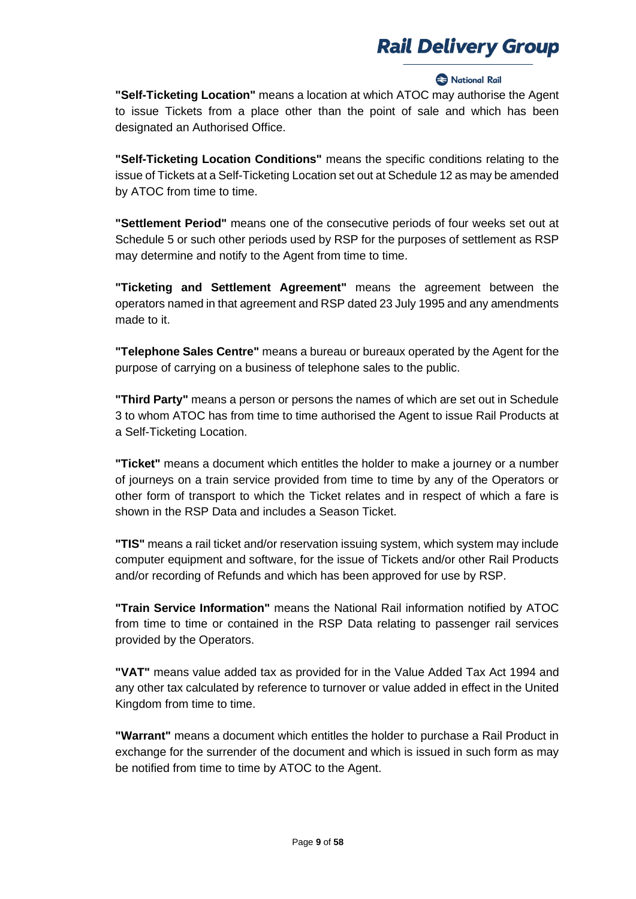#### **Rack** National Rail

**"Self-Ticketing Location"** means a location at which ATOC may authorise the Agent to issue Tickets from a place other than the point of sale and which has been designated an Authorised Office.

**"Self-Ticketing Location Conditions"** means the specific conditions relating to the issue of Tickets at a Self-Ticketing Location set out at Schedule 12 as may be amended by ATOC from time to time.

**"Settlement Period"** means one of the consecutive periods of four weeks set out at Schedule 5 or such other periods used by RSP for the purposes of settlement as RSP may determine and notify to the Agent from time to time.

**"Ticketing and Settlement Agreement"** means the agreement between the operators named in that agreement and RSP dated 23 July 1995 and any amendments made to it.

**"Telephone Sales Centre"** means a bureau or bureaux operated by the Agent for the purpose of carrying on a business of telephone sales to the public.

**"Third Party"** means a person or persons the names of which are set out in Schedule 3 to whom ATOC has from time to time authorised the Agent to issue Rail Products at a Self-Ticketing Location.

**"Ticket"** means a document which entitles the holder to make a journey or a number of journeys on a train service provided from time to time by any of the Operators or other form of transport to which the Ticket relates and in respect of which a fare is shown in the RSP Data and includes a Season Ticket.

**"TIS"** means a rail ticket and/or reservation issuing system, which system may include computer equipment and software, for the issue of Tickets and/or other Rail Products and/or recording of Refunds and which has been approved for use by RSP.

**"Train Service Information"** means the National Rail information notified by ATOC from time to time or contained in the RSP Data relating to passenger rail services provided by the Operators.

**"VAT"** means value added tax as provided for in the Value Added Tax Act 1994 and any other tax calculated by reference to turnover or value added in effect in the United Kingdom from time to time.

**"Warrant"** means a document which entitles the holder to purchase a Rail Product in exchange for the surrender of the document and which is issued in such form as may be notified from time to time by ATOC to the Agent.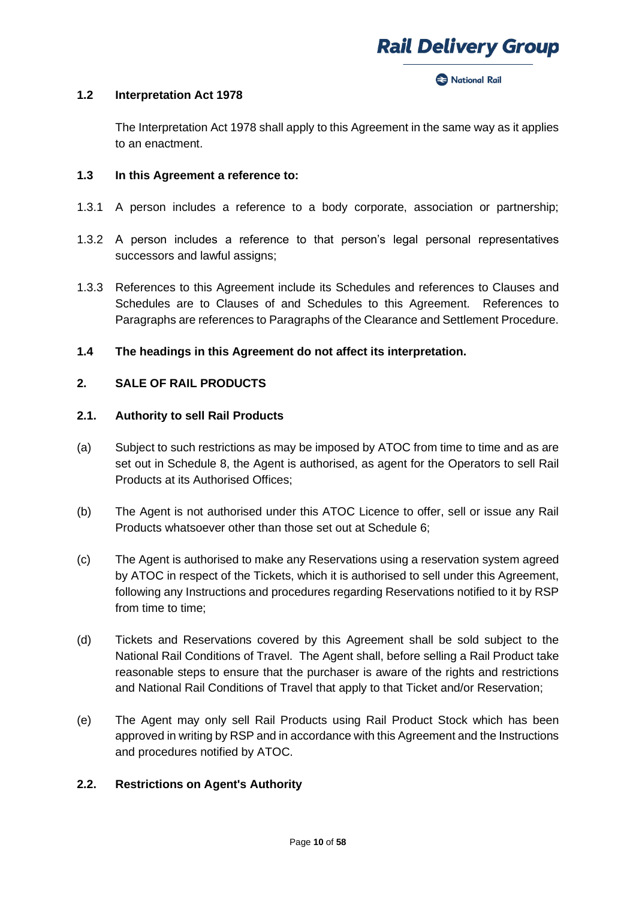#### **Racional Rail**

### **1.2 Interpretation Act 1978**

The Interpretation Act 1978 shall apply to this Agreement in the same way as it applies to an enactment.

### **1.3 In this Agreement a reference to:**

- 1.3.1 A person includes a reference to a body corporate, association or partnership;
- 1.3.2 A person includes a reference to that person's legal personal representatives successors and lawful assigns;
- 1.3.3 References to this Agreement include its Schedules and references to Clauses and Schedules are to Clauses of and Schedules to this Agreement. References to Paragraphs are references to Paragraphs of the Clearance and Settlement Procedure.

## **1.4 The headings in this Agreement do not affect its interpretation.**

## **2. SALE OF RAIL PRODUCTS**

#### **2.1. Authority to sell Rail Products**

- (a) Subject to such restrictions as may be imposed by ATOC from time to time and as are set out in Schedule 8, the Agent is authorised, as agent for the Operators to sell Rail Products at its Authorised Offices;
- (b) The Agent is not authorised under this ATOC Licence to offer, sell or issue any Rail Products whatsoever other than those set out at Schedule 6;
- (c) The Agent is authorised to make any Reservations using a reservation system agreed by ATOC in respect of the Tickets, which it is authorised to sell under this Agreement, following any Instructions and procedures regarding Reservations notified to it by RSP from time to time;
- (d) Tickets and Reservations covered by this Agreement shall be sold subject to the National Rail Conditions of Travel. The Agent shall, before selling a Rail Product take reasonable steps to ensure that the purchaser is aware of the rights and restrictions and National Rail Conditions of Travel that apply to that Ticket and/or Reservation;
- (e) The Agent may only sell Rail Products using Rail Product Stock which has been approved in writing by RSP and in accordance with this Agreement and the Instructions and procedures notified by ATOC.

## **2.2. Restrictions on Agent's Authority**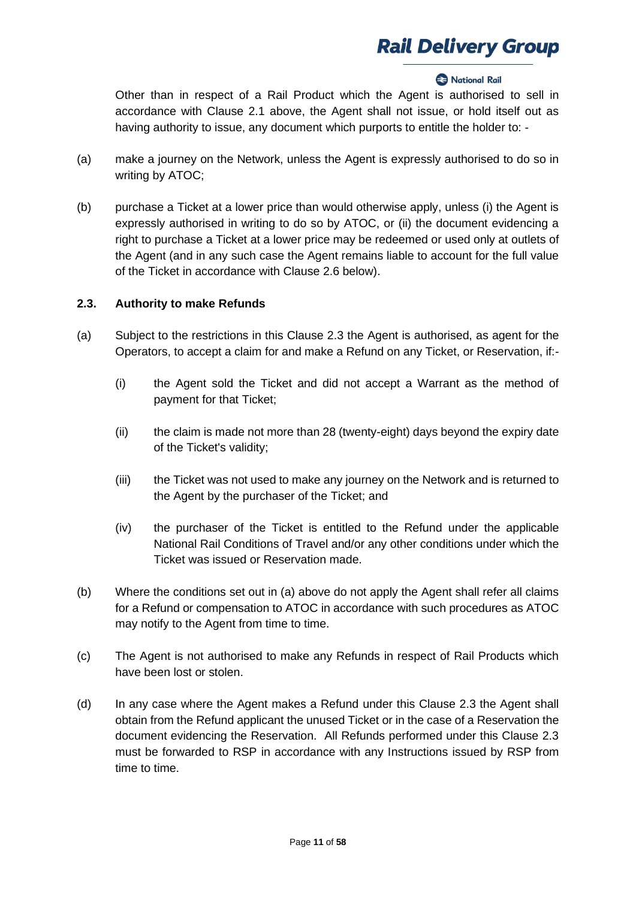### **2** National Rail

Other than in respect of a Rail Product which the Agent is authorised to sell in accordance with Clause 2.1 above, the Agent shall not issue, or hold itself out as having authority to issue, any document which purports to entitle the holder to: -

- (a) make a journey on the Network, unless the Agent is expressly authorised to do so in writing by ATOC;
- (b) purchase a Ticket at a lower price than would otherwise apply, unless (i) the Agent is expressly authorised in writing to do so by ATOC, or (ii) the document evidencing a right to purchase a Ticket at a lower price may be redeemed or used only at outlets of the Agent (and in any such case the Agent remains liable to account for the full value of the Ticket in accordance with Clause 2.6 below).

## **2.3. Authority to make Refunds**

- (a) Subject to the restrictions in this Clause 2.3 the Agent is authorised, as agent for the Operators, to accept a claim for and make a Refund on any Ticket, or Reservation, if:-
	- (i) the Agent sold the Ticket and did not accept a Warrant as the method of payment for that Ticket;
	- (ii) the claim is made not more than 28 (twenty-eight) days beyond the expiry date of the Ticket's validity;
	- (iii) the Ticket was not used to make any journey on the Network and is returned to the Agent by the purchaser of the Ticket; and
	- (iv) the purchaser of the Ticket is entitled to the Refund under the applicable National Rail Conditions of Travel and/or any other conditions under which the Ticket was issued or Reservation made.
- (b) Where the conditions set out in (a) above do not apply the Agent shall refer all claims for a Refund or compensation to ATOC in accordance with such procedures as ATOC may notify to the Agent from time to time.
- (c) The Agent is not authorised to make any Refunds in respect of Rail Products which have been lost or stolen.
- (d) In any case where the Agent makes a Refund under this Clause 2.3 the Agent shall obtain from the Refund applicant the unused Ticket or in the case of a Reservation the document evidencing the Reservation. All Refunds performed under this Clause 2.3 must be forwarded to RSP in accordance with any Instructions issued by RSP from time to time.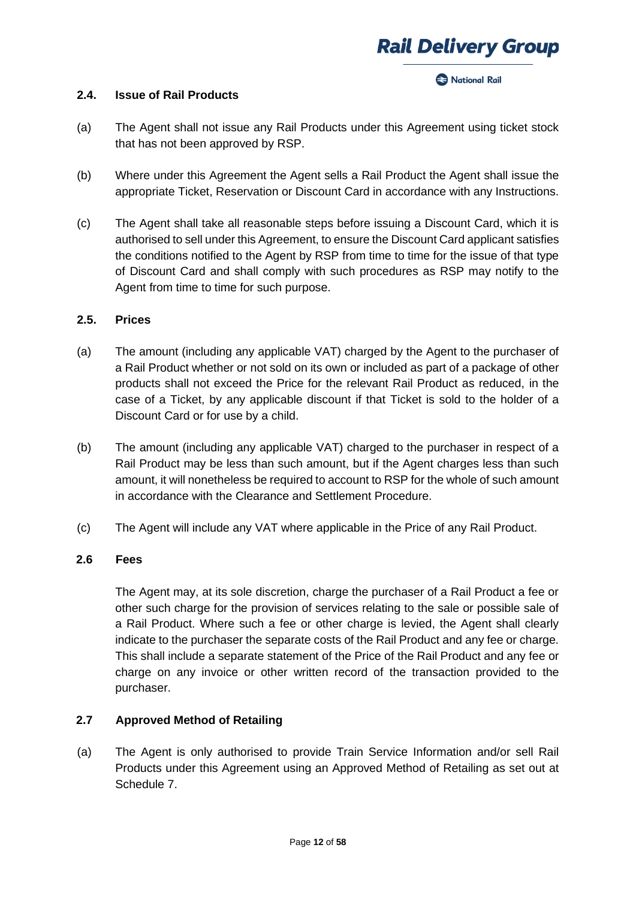#### **Racional Rail**

#### **2.4. Issue of Rail Products**

- (a) The Agent shall not issue any Rail Products under this Agreement using ticket stock that has not been approved by RSP.
- (b) Where under this Agreement the Agent sells a Rail Product the Agent shall issue the appropriate Ticket, Reservation or Discount Card in accordance with any Instructions.
- (c) The Agent shall take all reasonable steps before issuing a Discount Card, which it is authorised to sell under this Agreement, to ensure the Discount Card applicant satisfies the conditions notified to the Agent by RSP from time to time for the issue of that type of Discount Card and shall comply with such procedures as RSP may notify to the Agent from time to time for such purpose.

#### **2.5. Prices**

- (a) The amount (including any applicable VAT) charged by the Agent to the purchaser of a Rail Product whether or not sold on its own or included as part of a package of other products shall not exceed the Price for the relevant Rail Product as reduced, in the case of a Ticket, by any applicable discount if that Ticket is sold to the holder of a Discount Card or for use by a child.
- (b) The amount (including any applicable VAT) charged to the purchaser in respect of a Rail Product may be less than such amount, but if the Agent charges less than such amount, it will nonetheless be required to account to RSP for the whole of such amount in accordance with the Clearance and Settlement Procedure.
- (c) The Agent will include any VAT where applicable in the Price of any Rail Product.

### **2.6 Fees**

The Agent may, at its sole discretion, charge the purchaser of a Rail Product a fee or other such charge for the provision of services relating to the sale or possible sale of a Rail Product. Where such a fee or other charge is levied, the Agent shall clearly indicate to the purchaser the separate costs of the Rail Product and any fee or charge. This shall include a separate statement of the Price of the Rail Product and any fee or charge on any invoice or other written record of the transaction provided to the purchaser.

## **2.7 Approved Method of Retailing**

(a) The Agent is only authorised to provide Train Service Information and/or sell Rail Products under this Agreement using an Approved Method of Retailing as set out at Schedule 7.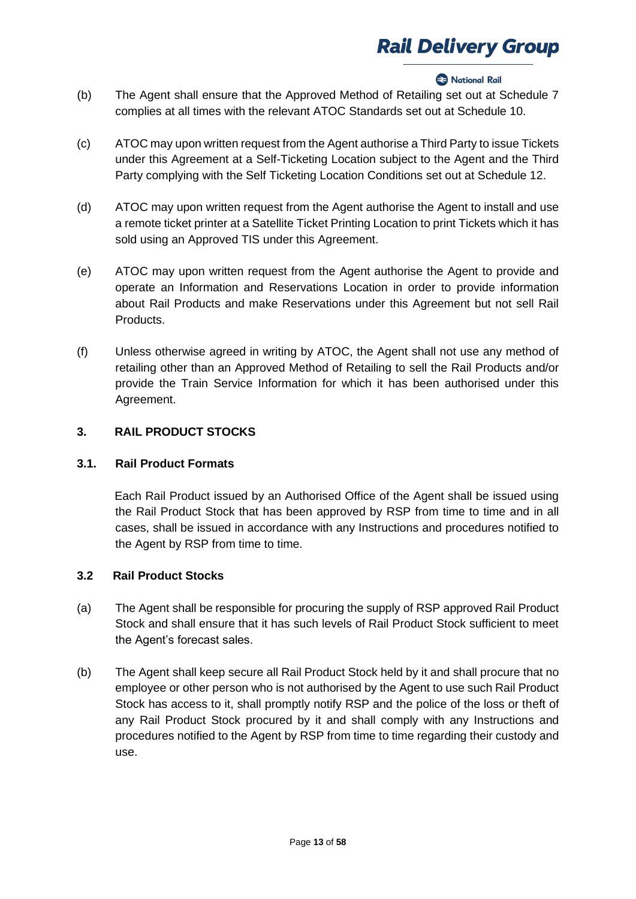### **2** National Rail

- (b) The Agent shall ensure that the Approved Method of Retailing set out at Schedule 7 complies at all times with the relevant ATOC Standards set out at Schedule 10.
- (c) ATOC may upon written request from the Agent authorise a Third Party to issue Tickets under this Agreement at a Self-Ticketing Location subject to the Agent and the Third Party complying with the Self Ticketing Location Conditions set out at Schedule 12.
- (d) ATOC may upon written request from the Agent authorise the Agent to install and use a remote ticket printer at a Satellite Ticket Printing Location to print Tickets which it has sold using an Approved TIS under this Agreement.
- (e) ATOC may upon written request from the Agent authorise the Agent to provide and operate an Information and Reservations Location in order to provide information about Rail Products and make Reservations under this Agreement but not sell Rail Products.
- (f) Unless otherwise agreed in writing by ATOC, the Agent shall not use any method of retailing other than an Approved Method of Retailing to sell the Rail Products and/or provide the Train Service Information for which it has been authorised under this Agreement.

## **3. RAIL PRODUCT STOCKS**

## **3.1. Rail Product Formats**

Each Rail Product issued by an Authorised Office of the Agent shall be issued using the Rail Product Stock that has been approved by RSP from time to time and in all cases, shall be issued in accordance with any Instructions and procedures notified to the Agent by RSP from time to time.

## **3.2 Rail Product Stocks**

- (a) The Agent shall be responsible for procuring the supply of RSP approved Rail Product Stock and shall ensure that it has such levels of Rail Product Stock sufficient to meet the Agent's forecast sales.
- (b) The Agent shall keep secure all Rail Product Stock held by it and shall procure that no employee or other person who is not authorised by the Agent to use such Rail Product Stock has access to it, shall promptly notify RSP and the police of the loss or theft of any Rail Product Stock procured by it and shall comply with any Instructions and procedures notified to the Agent by RSP from time to time regarding their custody and use.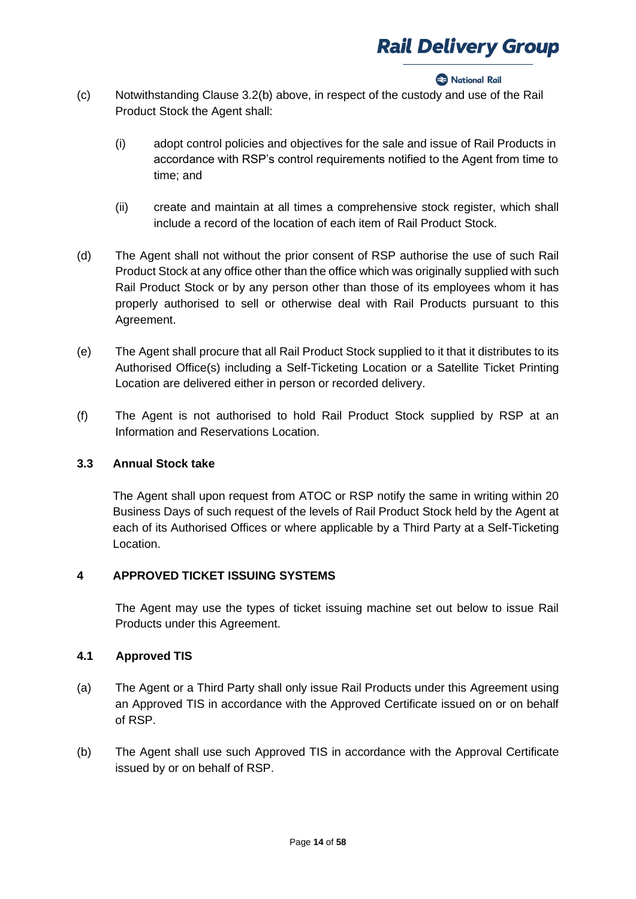#### **Racional Rail**

- (c) Notwithstanding Clause 3.2(b) above, in respect of the custody and use of the Rail Product Stock the Agent shall:
	- (i) adopt control policies and objectives for the sale and issue of Rail Products in accordance with RSP's control requirements notified to the Agent from time to time; and
	- (ii) create and maintain at all times a comprehensive stock register, which shall include a record of the location of each item of Rail Product Stock.
- (d) The Agent shall not without the prior consent of RSP authorise the use of such Rail Product Stock at any office other than the office which was originally supplied with such Rail Product Stock or by any person other than those of its employees whom it has properly authorised to sell or otherwise deal with Rail Products pursuant to this Agreement.
- (e) The Agent shall procure that all Rail Product Stock supplied to it that it distributes to its Authorised Office(s) including a Self-Ticketing Location or a Satellite Ticket Printing Location are delivered either in person or recorded delivery.
- (f) The Agent is not authorised to hold Rail Product Stock supplied by RSP at an Information and Reservations Location.

## **3.3 Annual Stock take**

The Agent shall upon request from ATOC or RSP notify the same in writing within 20 Business Days of such request of the levels of Rail Product Stock held by the Agent at each of its Authorised Offices or where applicable by a Third Party at a Self-Ticketing Location.

## **4 APPROVED TICKET ISSUING SYSTEMS**

The Agent may use the types of ticket issuing machine set out below to issue Rail Products under this Agreement.

## **4.1 Approved TIS**

- (a) The Agent or a Third Party shall only issue Rail Products under this Agreement using an Approved TIS in accordance with the Approved Certificate issued on or on behalf of RSP.
- (b) The Agent shall use such Approved TIS in accordance with the Approval Certificate issued by or on behalf of RSP.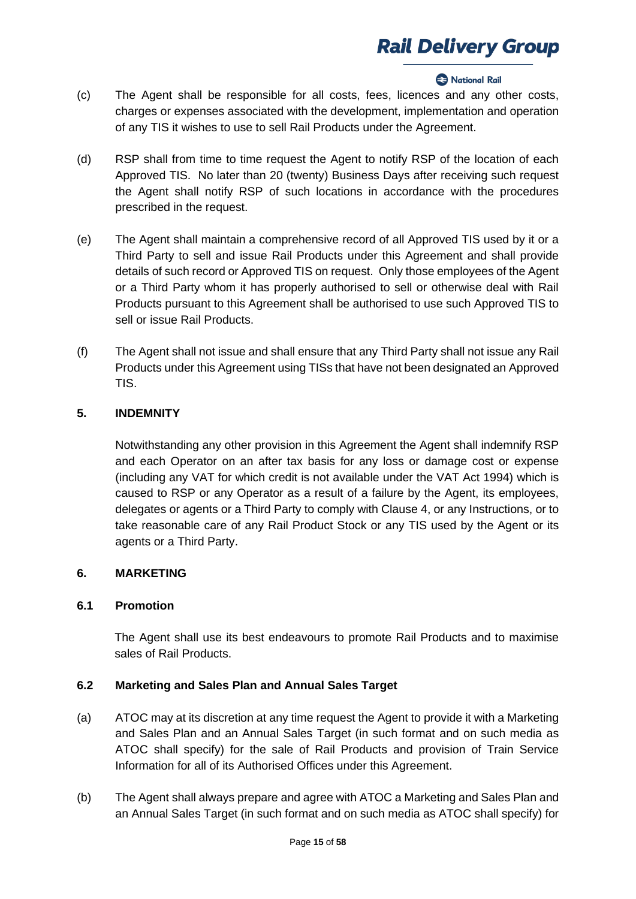#### **Rational Rail**

- (c) The Agent shall be responsible for all costs, fees, licences and any other costs, charges or expenses associated with the development, implementation and operation of any TIS it wishes to use to sell Rail Products under the Agreement.
- (d) RSP shall from time to time request the Agent to notify RSP of the location of each Approved TIS. No later than 20 (twenty) Business Days after receiving such request the Agent shall notify RSP of such locations in accordance with the procedures prescribed in the request.
- (e) The Agent shall maintain a comprehensive record of all Approved TIS used by it or a Third Party to sell and issue Rail Products under this Agreement and shall provide details of such record or Approved TIS on request. Only those employees of the Agent or a Third Party whom it has properly authorised to sell or otherwise deal with Rail Products pursuant to this Agreement shall be authorised to use such Approved TIS to sell or issue Rail Products.
- (f) The Agent shall not issue and shall ensure that any Third Party shall not issue any Rail Products under this Agreement using TISs that have not been designated an Approved TIS.

## **5. INDEMNITY**

Notwithstanding any other provision in this Agreement the Agent shall indemnify RSP and each Operator on an after tax basis for any loss or damage cost or expense (including any VAT for which credit is not available under the VAT Act 1994) which is caused to RSP or any Operator as a result of a failure by the Agent, its employees, delegates or agents or a Third Party to comply with Clause 4, or any Instructions, or to take reasonable care of any Rail Product Stock or any TIS used by the Agent or its agents or a Third Party.

## **6. MARKETING**

## **6.1 Promotion**

The Agent shall use its best endeavours to promote Rail Products and to maximise sales of Rail Products.

## **6.2 Marketing and Sales Plan and Annual Sales Target**

- (a) ATOC may at its discretion at any time request the Agent to provide it with a Marketing and Sales Plan and an Annual Sales Target (in such format and on such media as ATOC shall specify) for the sale of Rail Products and provision of Train Service Information for all of its Authorised Offices under this Agreement.
- (b) The Agent shall always prepare and agree with ATOC a Marketing and Sales Plan and an Annual Sales Target (in such format and on such media as ATOC shall specify) for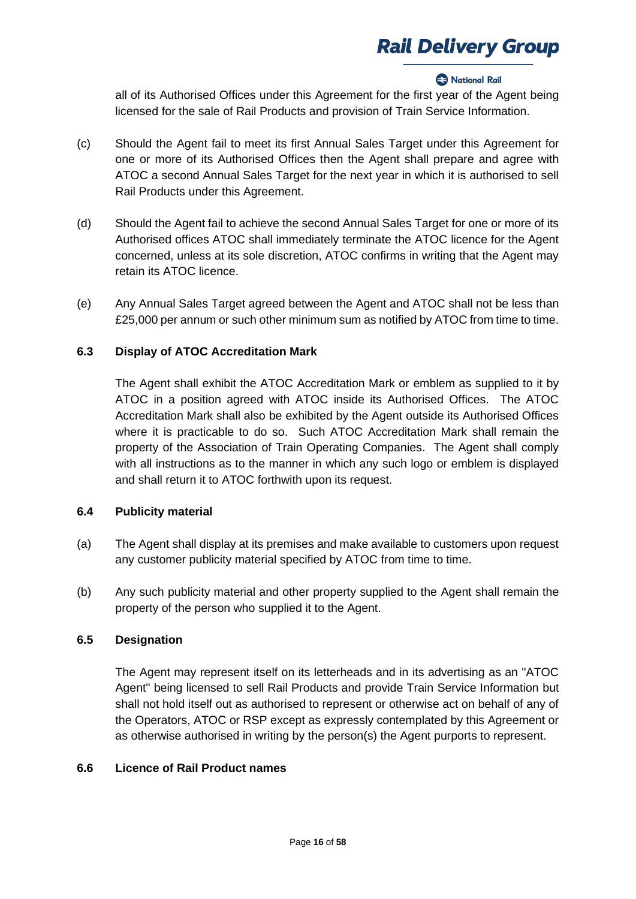#### **Racional Rail**

all of its Authorised Offices under this Agreement for the first year of the Agent being licensed for the sale of Rail Products and provision of Train Service Information.

- (c) Should the Agent fail to meet its first Annual Sales Target under this Agreement for one or more of its Authorised Offices then the Agent shall prepare and agree with ATOC a second Annual Sales Target for the next year in which it is authorised to sell Rail Products under this Agreement.
- (d) Should the Agent fail to achieve the second Annual Sales Target for one or more of its Authorised offices ATOC shall immediately terminate the ATOC licence for the Agent concerned, unless at its sole discretion, ATOC confirms in writing that the Agent may retain its ATOC licence.
- (e) Any Annual Sales Target agreed between the Agent and ATOC shall not be less than £25,000 per annum or such other minimum sum as notified by ATOC from time to time.

## **6.3 Display of ATOC Accreditation Mark**

The Agent shall exhibit the ATOC Accreditation Mark or emblem as supplied to it by ATOC in a position agreed with ATOC inside its Authorised Offices. The ATOC Accreditation Mark shall also be exhibited by the Agent outside its Authorised Offices where it is practicable to do so. Such ATOC Accreditation Mark shall remain the property of the Association of Train Operating Companies. The Agent shall comply with all instructions as to the manner in which any such logo or emblem is displayed and shall return it to ATOC forthwith upon its request.

## **6.4 Publicity material**

- (a) The Agent shall display at its premises and make available to customers upon request any customer publicity material specified by ATOC from time to time.
- (b) Any such publicity material and other property supplied to the Agent shall remain the property of the person who supplied it to the Agent.

## **6.5 Designation**

The Agent may represent itself on its letterheads and in its advertising as an "ATOC Agent" being licensed to sell Rail Products and provide Train Service Information but shall not hold itself out as authorised to represent or otherwise act on behalf of any of the Operators, ATOC or RSP except as expressly contemplated by this Agreement or as otherwise authorised in writing by the person(s) the Agent purports to represent.

## **6.6 Licence of Rail Product names**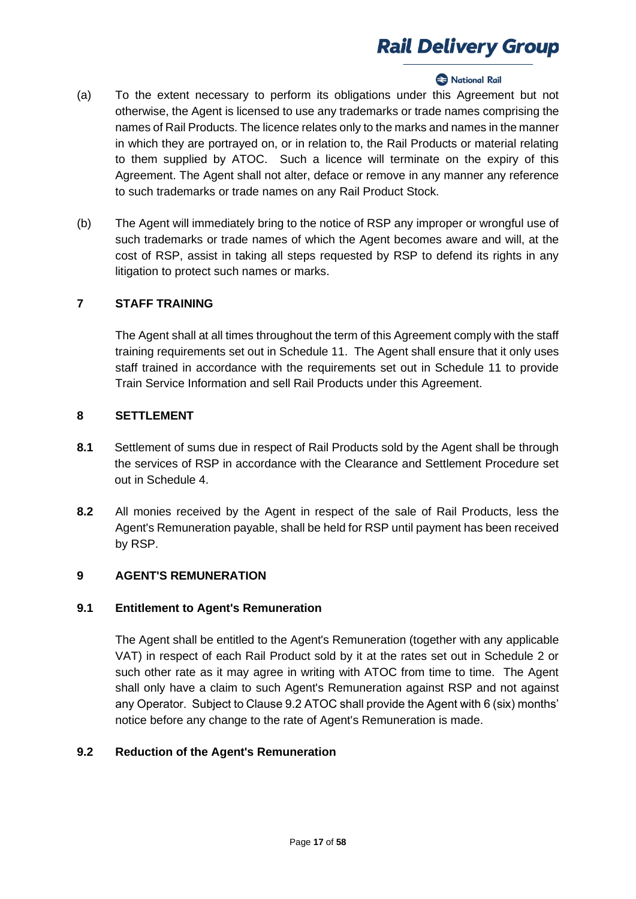### National Rail

- (a) To the extent necessary to perform its obligations under this Agreement but not otherwise, the Agent is licensed to use any trademarks or trade names comprising the names of Rail Products. The licence relates only to the marks and names in the manner in which they are portrayed on, or in relation to, the Rail Products or material relating to them supplied by ATOC. Such a licence will terminate on the expiry of this Agreement. The Agent shall not alter, deface or remove in any manner any reference to such trademarks or trade names on any Rail Product Stock.
- (b) The Agent will immediately bring to the notice of RSP any improper or wrongful use of such trademarks or trade names of which the Agent becomes aware and will, at the cost of RSP, assist in taking all steps requested by RSP to defend its rights in any litigation to protect such names or marks.

## **7 STAFF TRAINING**

The Agent shall at all times throughout the term of this Agreement comply with the staff training requirements set out in Schedule 11. The Agent shall ensure that it only uses staff trained in accordance with the requirements set out in Schedule 11 to provide Train Service Information and sell Rail Products under this Agreement.

### **8 SETTLEMENT**

- **8.1** Settlement of sums due in respect of Rail Products sold by the Agent shall be through the services of RSP in accordance with the Clearance and Settlement Procedure set out in Schedule 4.
- **8.2** All monies received by the Agent in respect of the sale of Rail Products, less the Agent's Remuneration payable, shall be held for RSP until payment has been received by RSP.

## **9 AGENT'S REMUNERATION**

#### **9.1 Entitlement to Agent's Remuneration**

The Agent shall be entitled to the Agent's Remuneration (together with any applicable VAT) in respect of each Rail Product sold by it at the rates set out in Schedule 2 or such other rate as it may agree in writing with ATOC from time to time. The Agent shall only have a claim to such Agent's Remuneration against RSP and not against any Operator. Subject to Clause 9.2 ATOC shall provide the Agent with 6 (six) months' notice before any change to the rate of Agent's Remuneration is made.

#### **9.2 Reduction of the Agent's Remuneration**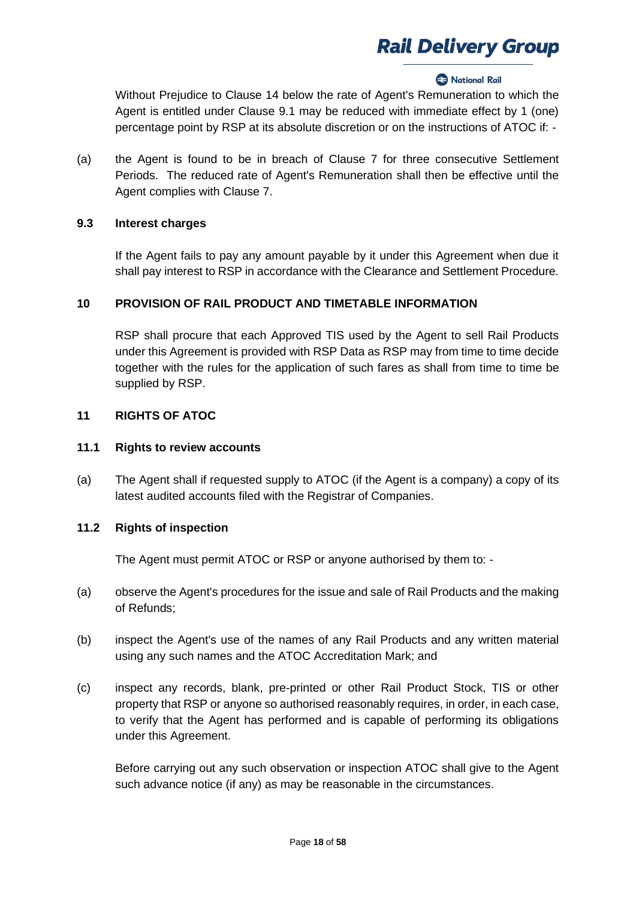#### **2** National Rail

Without Prejudice to Clause 14 below the rate of Agent's Remuneration to which the Agent is entitled under Clause 9.1 may be reduced with immediate effect by 1 (one) percentage point by RSP at its absolute discretion or on the instructions of ATOC if: -

(a) the Agent is found to be in breach of Clause 7 for three consecutive Settlement Periods. The reduced rate of Agent's Remuneration shall then be effective until the Agent complies with Clause 7.

### **9.3 Interest charges**

If the Agent fails to pay any amount payable by it under this Agreement when due it shall pay interest to RSP in accordance with the Clearance and Settlement Procedure.

## **10 PROVISION OF RAIL PRODUCT AND TIMETABLE INFORMATION**

RSP shall procure that each Approved TIS used by the Agent to sell Rail Products under this Agreement is provided with RSP Data as RSP may from time to time decide together with the rules for the application of such fares as shall from time to time be supplied by RSP.

## **11 RIGHTS OF ATOC**

### **11.1 Rights to review accounts**

(a) The Agent shall if requested supply to ATOC (if the Agent is a company) a copy of its latest audited accounts filed with the Registrar of Companies.

#### **11.2 Rights of inspection**

The Agent must permit ATOC or RSP or anyone authorised by them to: -

- (a) observe the Agent's procedures for the issue and sale of Rail Products and the making of Refunds;
- (b) inspect the Agent's use of the names of any Rail Products and any written material using any such names and the ATOC Accreditation Mark; and
- (c) inspect any records, blank, pre-printed or other Rail Product Stock, TIS or other property that RSP or anyone so authorised reasonably requires, in order, in each case, to verify that the Agent has performed and is capable of performing its obligations under this Agreement.

Before carrying out any such observation or inspection ATOC shall give to the Agent such advance notice (if any) as may be reasonable in the circumstances.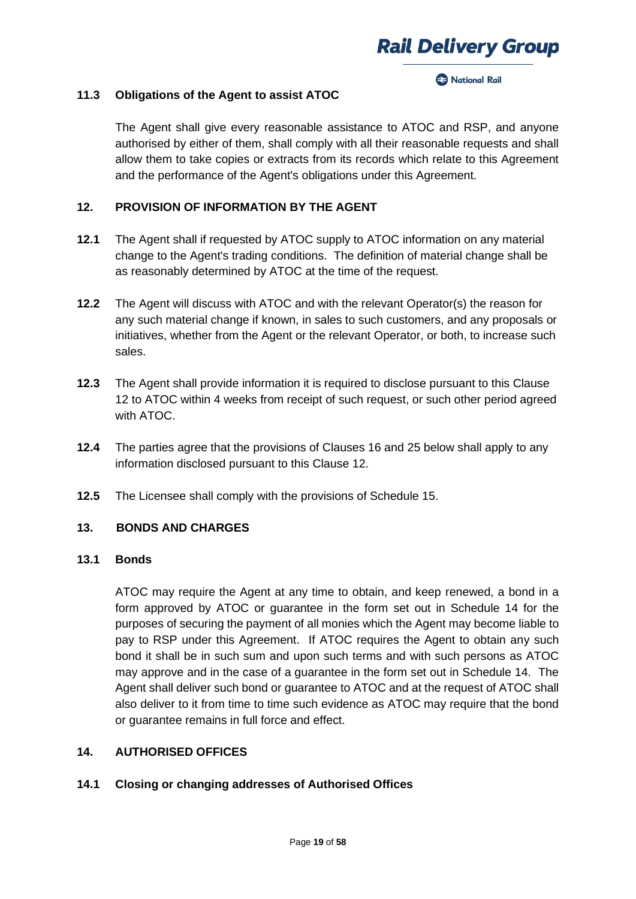#### **Racional Rail**

#### **11.3 Obligations of the Agent to assist ATOC**

The Agent shall give every reasonable assistance to ATOC and RSP, and anyone authorised by either of them, shall comply with all their reasonable requests and shall allow them to take copies or extracts from its records which relate to this Agreement and the performance of the Agent's obligations under this Agreement.

### **12. PROVISION OF INFORMATION BY THE AGENT**

- **12.1** The Agent shall if requested by ATOC supply to ATOC information on any material change to the Agent's trading conditions. The definition of material change shall be as reasonably determined by ATOC at the time of the request.
- **12.2** The Agent will discuss with ATOC and with the relevant Operator(s) the reason for any such material change if known, in sales to such customers, and any proposals or initiatives, whether from the Agent or the relevant Operator, or both, to increase such sales.
- **12.3** The Agent shall provide information it is required to disclose pursuant to this Clause 12 to ATOC within 4 weeks from receipt of such request, or such other period agreed with ATOC.
- **12.4** The parties agree that the provisions of Clauses 16 and 25 below shall apply to any information disclosed pursuant to this Clause 12.
- **12.5** The Licensee shall comply with the provisions of Schedule 15.

#### **13. BONDS AND CHARGES**

### **13.1 Bonds**

ATOC may require the Agent at any time to obtain, and keep renewed, a bond in a form approved by ATOC or guarantee in the form set out in Schedule 14 for the purposes of securing the payment of all monies which the Agent may become liable to pay to RSP under this Agreement. If ATOC requires the Agent to obtain any such bond it shall be in such sum and upon such terms and with such persons as ATOC may approve and in the case of a guarantee in the form set out in Schedule 14. The Agent shall deliver such bond or guarantee to ATOC and at the request of ATOC shall also deliver to it from time to time such evidence as ATOC may require that the bond or guarantee remains in full force and effect.

#### **14. AUTHORISED OFFICES**

#### **14.1 Closing or changing addresses of Authorised Offices**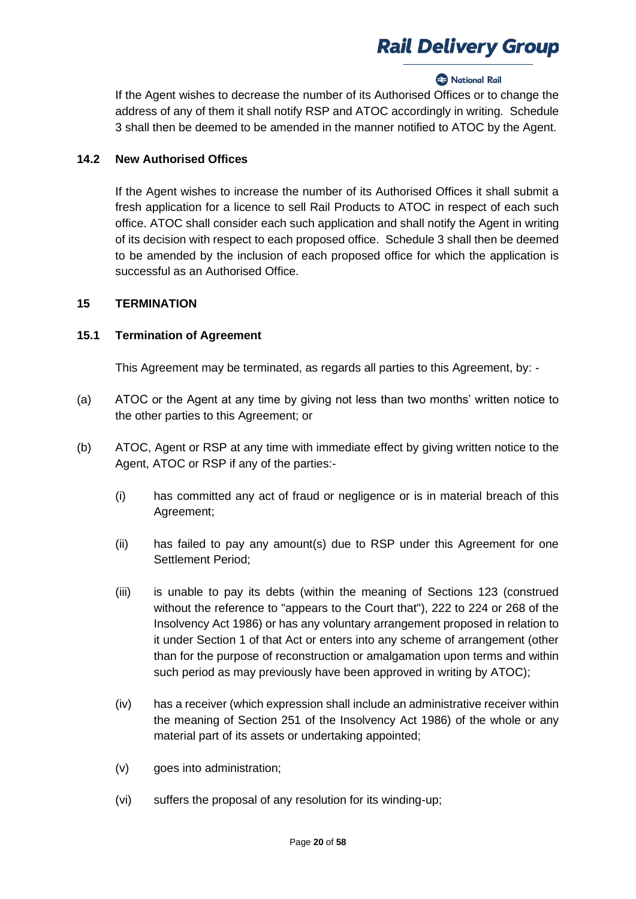## **2** National Rail

If the Agent wishes to decrease the number of its Authorised Offices or to change the address of any of them it shall notify RSP and ATOC accordingly in writing. Schedule 3 shall then be deemed to be amended in the manner notified to ATOC by the Agent.

## **14.2 New Authorised Offices**

If the Agent wishes to increase the number of its Authorised Offices it shall submit a fresh application for a licence to sell Rail Products to ATOC in respect of each such office. ATOC shall consider each such application and shall notify the Agent in writing of its decision with respect to each proposed office. Schedule 3 shall then be deemed to be amended by the inclusion of each proposed office for which the application is successful as an Authorised Office.

## **15 TERMINATION**

## **15.1 Termination of Agreement**

This Agreement may be terminated, as regards all parties to this Agreement, by: -

- (a) ATOC or the Agent at any time by giving not less than two months' written notice to the other parties to this Agreement; or
- (b) ATOC, Agent or RSP at any time with immediate effect by giving written notice to the Agent, ATOC or RSP if any of the parties:-
	- (i) has committed any act of fraud or negligence or is in material breach of this Agreement;
	- (ii) has failed to pay any amount(s) due to RSP under this Agreement for one Settlement Period;
	- (iii) is unable to pay its debts (within the meaning of Sections 123 (construed without the reference to "appears to the Court that"), 222 to 224 or 268 of the Insolvency Act 1986) or has any voluntary arrangement proposed in relation to it under Section 1 of that Act or enters into any scheme of arrangement (other than for the purpose of reconstruction or amalgamation upon terms and within such period as may previously have been approved in writing by ATOC);
	- (iv) has a receiver (which expression shall include an administrative receiver within the meaning of Section 251 of the Insolvency Act 1986) of the whole or any material part of its assets or undertaking appointed;
	- (v) goes into administration;
	- (vi) suffers the proposal of any resolution for its winding-up;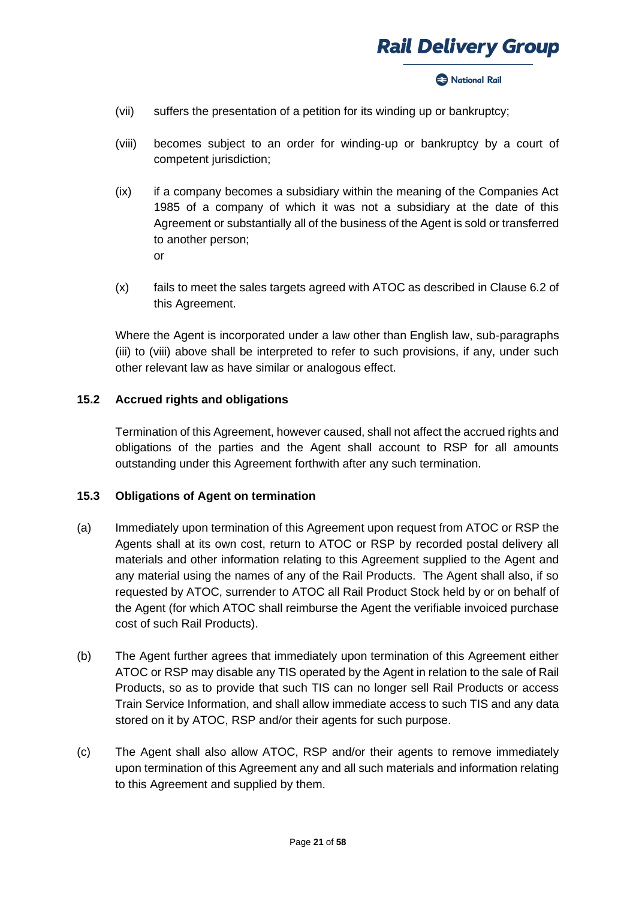

#### **2** National Rail

- (vii) suffers the presentation of a petition for its winding up or bankruptcy;
- (viii) becomes subject to an order for winding-up or bankruptcy by a court of competent jurisdiction;
- (ix) if a company becomes a subsidiary within the meaning of the Companies Act 1985 of a company of which it was not a subsidiary at the date of this Agreement or substantially all of the business of the Agent is sold or transferred to another person; or
- (x) fails to meet the sales targets agreed with ATOC as described in Clause 6.2 of this Agreement.

Where the Agent is incorporated under a law other than English law, sub-paragraphs (iii) to (viii) above shall be interpreted to refer to such provisions, if any, under such other relevant law as have similar or analogous effect.

### **15.2 Accrued rights and obligations**

Termination of this Agreement, however caused, shall not affect the accrued rights and obligations of the parties and the Agent shall account to RSP for all amounts outstanding under this Agreement forthwith after any such termination.

#### **15.3 Obligations of Agent on termination**

- (a) Immediately upon termination of this Agreement upon request from ATOC or RSP the Agents shall at its own cost, return to ATOC or RSP by recorded postal delivery all materials and other information relating to this Agreement supplied to the Agent and any material using the names of any of the Rail Products. The Agent shall also, if so requested by ATOC, surrender to ATOC all Rail Product Stock held by or on behalf of the Agent (for which ATOC shall reimburse the Agent the verifiable invoiced purchase cost of such Rail Products).
- (b) The Agent further agrees that immediately upon termination of this Agreement either ATOC or RSP may disable any TIS operated by the Agent in relation to the sale of Rail Products, so as to provide that such TIS can no longer sell Rail Products or access Train Service Information, and shall allow immediate access to such TIS and any data stored on it by ATOC, RSP and/or their agents for such purpose.
- (c) The Agent shall also allow ATOC, RSP and/or their agents to remove immediately upon termination of this Agreement any and all such materials and information relating to this Agreement and supplied by them.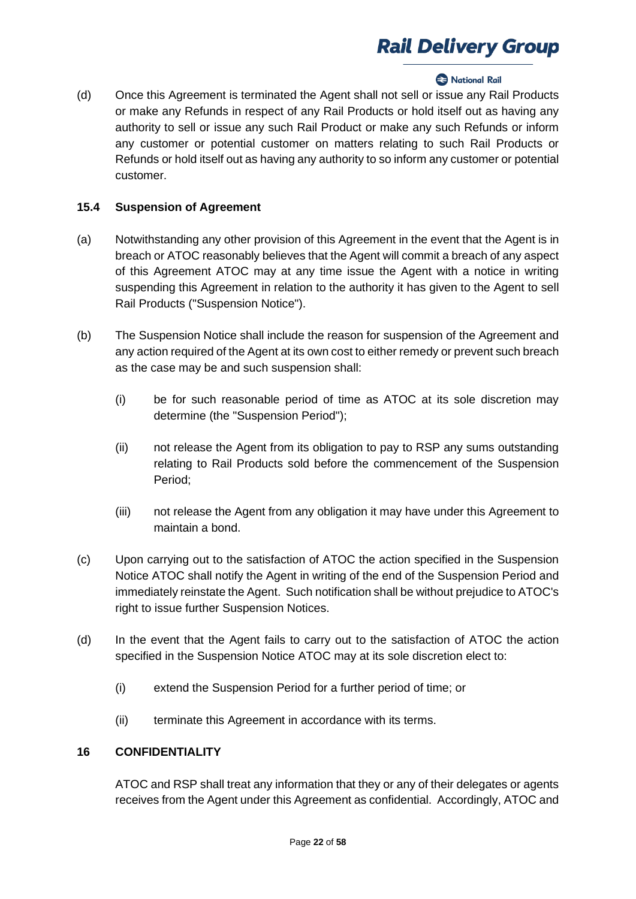## **2** National Rail

(d) Once this Agreement is terminated the Agent shall not sell or issue any Rail Products or make any Refunds in respect of any Rail Products or hold itself out as having any authority to sell or issue any such Rail Product or make any such Refunds or inform any customer or potential customer on matters relating to such Rail Products or Refunds or hold itself out as having any authority to so inform any customer or potential customer.

### **15.4 Suspension of Agreement**

- (a) Notwithstanding any other provision of this Agreement in the event that the Agent is in breach or ATOC reasonably believes that the Agent will commit a breach of any aspect of this Agreement ATOC may at any time issue the Agent with a notice in writing suspending this Agreement in relation to the authority it has given to the Agent to sell Rail Products ("Suspension Notice").
- (b) The Suspension Notice shall include the reason for suspension of the Agreement and any action required of the Agent at its own cost to either remedy or prevent such breach as the case may be and such suspension shall:
	- (i) be for such reasonable period of time as ATOC at its sole discretion may determine (the "Suspension Period");
	- (ii) not release the Agent from its obligation to pay to RSP any sums outstanding relating to Rail Products sold before the commencement of the Suspension Period;
	- (iii) not release the Agent from any obligation it may have under this Agreement to maintain a bond.
- (c) Upon carrying out to the satisfaction of ATOC the action specified in the Suspension Notice ATOC shall notify the Agent in writing of the end of the Suspension Period and immediately reinstate the Agent. Such notification shall be without prejudice to ATOC's right to issue further Suspension Notices.
- (d) In the event that the Agent fails to carry out to the satisfaction of ATOC the action specified in the Suspension Notice ATOC may at its sole discretion elect to:
	- (i) extend the Suspension Period for a further period of time; or
	- (ii) terminate this Agreement in accordance with its terms.

## **16 CONFIDENTIALITY**

ATOC and RSP shall treat any information that they or any of their delegates or agents receives from the Agent under this Agreement as confidential. Accordingly, ATOC and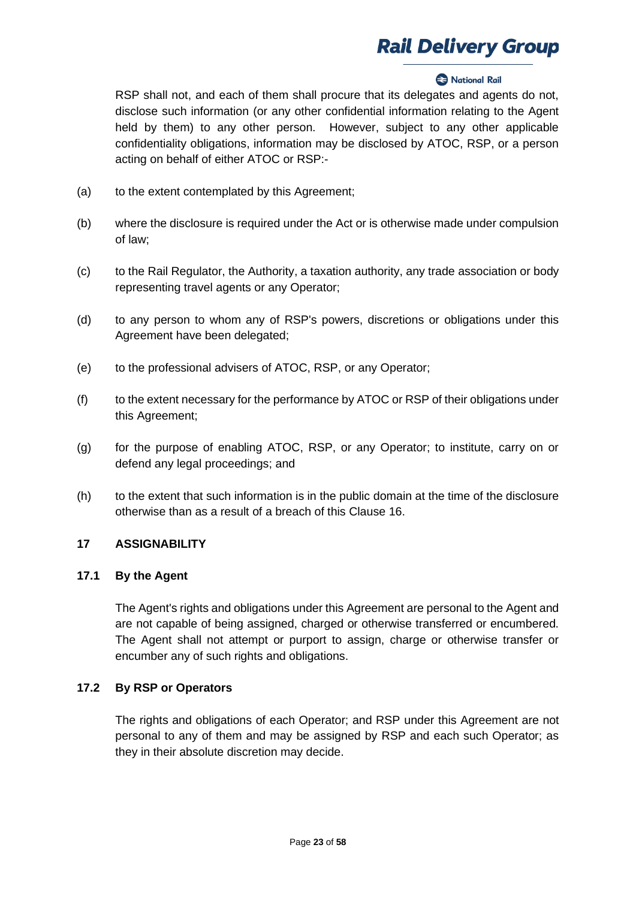## **Rational Rail**

RSP shall not, and each of them shall procure that its delegates and agents do not, disclose such information (or any other confidential information relating to the Agent held by them) to any other person. However, subject to any other applicable confidentiality obligations, information may be disclosed by ATOC, RSP, or a person acting on behalf of either ATOC or RSP:-

- (a) to the extent contemplated by this Agreement;
- (b) where the disclosure is required under the Act or is otherwise made under compulsion of law;
- (c) to the Rail Regulator, the Authority, a taxation authority, any trade association or body representing travel agents or any Operator;
- (d) to any person to whom any of RSP's powers, discretions or obligations under this Agreement have been delegated;
- (e) to the professional advisers of ATOC, RSP, or any Operator;
- (f) to the extent necessary for the performance by ATOC or RSP of their obligations under this Agreement;
- (g) for the purpose of enabling ATOC, RSP, or any Operator; to institute, carry on or defend any legal proceedings; and
- (h) to the extent that such information is in the public domain at the time of the disclosure otherwise than as a result of a breach of this Clause 16.

### **17 ASSIGNABILITY**

#### **17.1 By the Agent**

The Agent's rights and obligations under this Agreement are personal to the Agent and are not capable of being assigned, charged or otherwise transferred or encumbered. The Agent shall not attempt or purport to assign, charge or otherwise transfer or encumber any of such rights and obligations.

#### **17.2 By RSP or Operators**

The rights and obligations of each Operator; and RSP under this Agreement are not personal to any of them and may be assigned by RSP and each such Operator; as they in their absolute discretion may decide.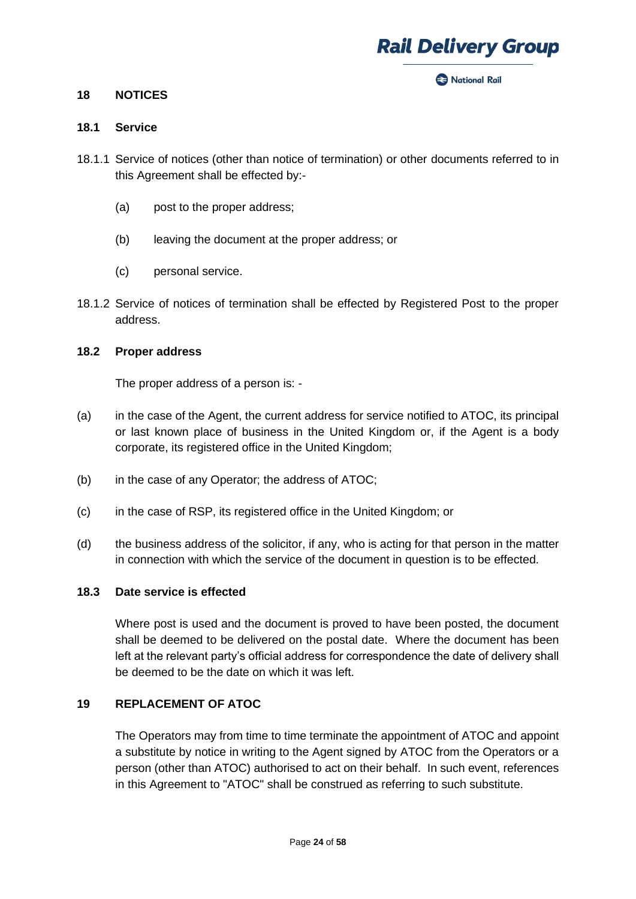

**Rack National Rail** 

#### **18 NOTICES**

#### **18.1 Service**

- 18.1.1 Service of notices (other than notice of termination) or other documents referred to in this Agreement shall be effected by:-
	- (a) post to the proper address;
	- (b) leaving the document at the proper address; or
	- (c) personal service.
- 18.1.2 Service of notices of termination shall be effected by Registered Post to the proper address.

#### **18.2 Proper address**

The proper address of a person is: -

- (a) in the case of the Agent, the current address for service notified to ATOC, its principal or last known place of business in the United Kingdom or, if the Agent is a body corporate, its registered office in the United Kingdom;
- (b) in the case of any Operator; the address of ATOC;
- (c) in the case of RSP, its registered office in the United Kingdom; or
- (d) the business address of the solicitor, if any, who is acting for that person in the matter in connection with which the service of the document in question is to be effected.

## **18.3 Date service is effected**

Where post is used and the document is proved to have been posted, the document shall be deemed to be delivered on the postal date. Where the document has been left at the relevant party's official address for correspondence the date of delivery shall be deemed to be the date on which it was left.

#### **19 REPLACEMENT OF ATOC**

The Operators may from time to time terminate the appointment of ATOC and appoint a substitute by notice in writing to the Agent signed by ATOC from the Operators or a person (other than ATOC) authorised to act on their behalf. In such event, references in this Agreement to "ATOC" shall be construed as referring to such substitute.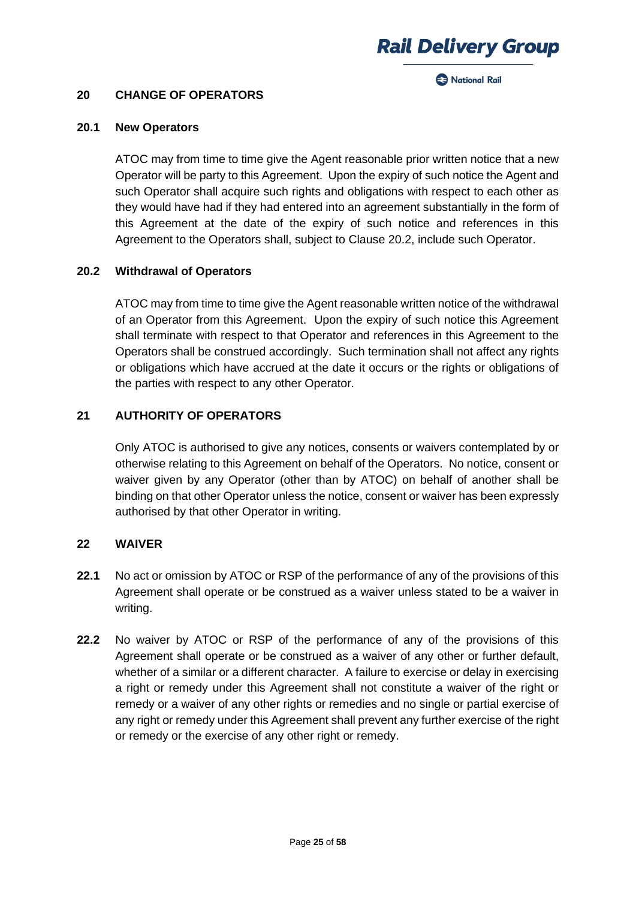**Racional Rail** 

#### **20 CHANGE OF OPERATORS**

#### **20.1 New Operators**

ATOC may from time to time give the Agent reasonable prior written notice that a new Operator will be party to this Agreement. Upon the expiry of such notice the Agent and such Operator shall acquire such rights and obligations with respect to each other as they would have had if they had entered into an agreement substantially in the form of this Agreement at the date of the expiry of such notice and references in this Agreement to the Operators shall, subject to Clause 20.2, include such Operator.

### **20.2 Withdrawal of Operators**

ATOC may from time to time give the Agent reasonable written notice of the withdrawal of an Operator from this Agreement. Upon the expiry of such notice this Agreement shall terminate with respect to that Operator and references in this Agreement to the Operators shall be construed accordingly. Such termination shall not affect any rights or obligations which have accrued at the date it occurs or the rights or obligations of the parties with respect to any other Operator.

## **21 AUTHORITY OF OPERATORS**

Only ATOC is authorised to give any notices, consents or waivers contemplated by or otherwise relating to this Agreement on behalf of the Operators. No notice, consent or waiver given by any Operator (other than by ATOC) on behalf of another shall be binding on that other Operator unless the notice, consent or waiver has been expressly authorised by that other Operator in writing.

### **22 WAIVER**

- **22.1** No act or omission by ATOC or RSP of the performance of any of the provisions of this Agreement shall operate or be construed as a waiver unless stated to be a waiver in writing.
- **22.2** No waiver by ATOC or RSP of the performance of any of the provisions of this Agreement shall operate or be construed as a waiver of any other or further default, whether of a similar or a different character. A failure to exercise or delay in exercising a right or remedy under this Agreement shall not constitute a waiver of the right or remedy or a waiver of any other rights or remedies and no single or partial exercise of any right or remedy under this Agreement shall prevent any further exercise of the right or remedy or the exercise of any other right or remedy.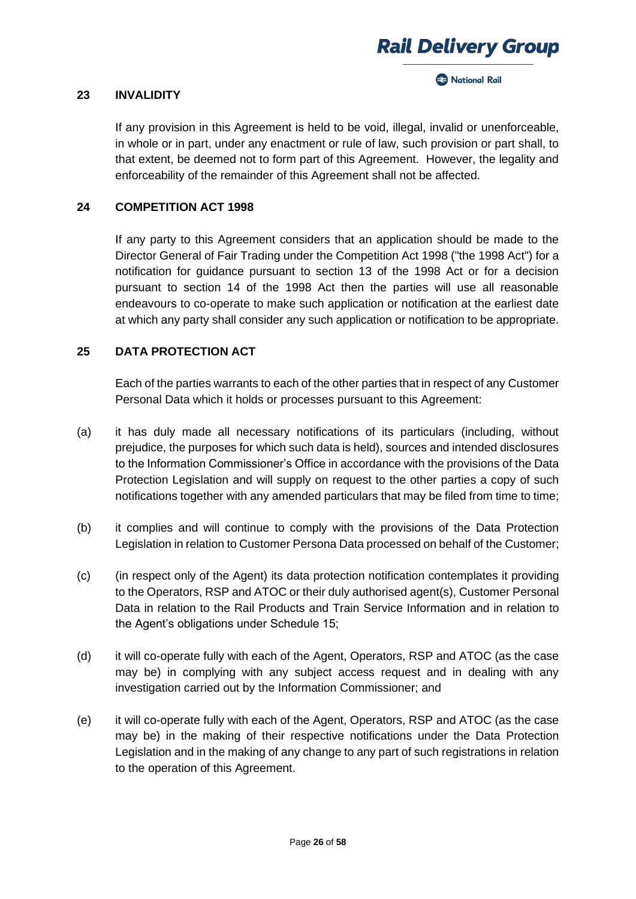



#### **23 INVALIDITY**

If any provision in this Agreement is held to be void, illegal, invalid or unenforceable, in whole or in part, under any enactment or rule of law, such provision or part shall, to that extent, be deemed not to form part of this Agreement. However, the legality and enforceability of the remainder of this Agreement shall not be affected.

### **24 COMPETITION ACT 1998**

If any party to this Agreement considers that an application should be made to the Director General of Fair Trading under the Competition Act 1998 ("the 1998 Act") for a notification for guidance pursuant to section 13 of the 1998 Act or for a decision pursuant to section 14 of the 1998 Act then the parties will use all reasonable endeavours to co-operate to make such application or notification at the earliest date at which any party shall consider any such application or notification to be appropriate.

### **25 DATA PROTECTION ACT**

Each of the parties warrants to each of the other parties that in respect of any Customer Personal Data which it holds or processes pursuant to this Agreement:

- (a) it has duly made all necessary notifications of its particulars (including, without prejudice, the purposes for which such data is held), sources and intended disclosures to the Information Commissioner's Office in accordance with the provisions of the Data Protection Legislation and will supply on request to the other parties a copy of such notifications together with any amended particulars that may be filed from time to time;
- (b) it complies and will continue to comply with the provisions of the Data Protection Legislation in relation to Customer Persona Data processed on behalf of the Customer;
- (c) (in respect only of the Agent) its data protection notification contemplates it providing to the Operators, RSP and ATOC or their duly authorised agent(s), Customer Personal Data in relation to the Rail Products and Train Service Information and in relation to the Agent's obligations under Schedule 15;
- (d) it will co-operate fully with each of the Agent, Operators, RSP and ATOC (as the case may be) in complying with any subject access request and in dealing with any investigation carried out by the Information Commissioner; and
- (e) it will co-operate fully with each of the Agent, Operators, RSP and ATOC (as the case may be) in the making of their respective notifications under the Data Protection Legislation and in the making of any change to any part of such registrations in relation to the operation of this Agreement.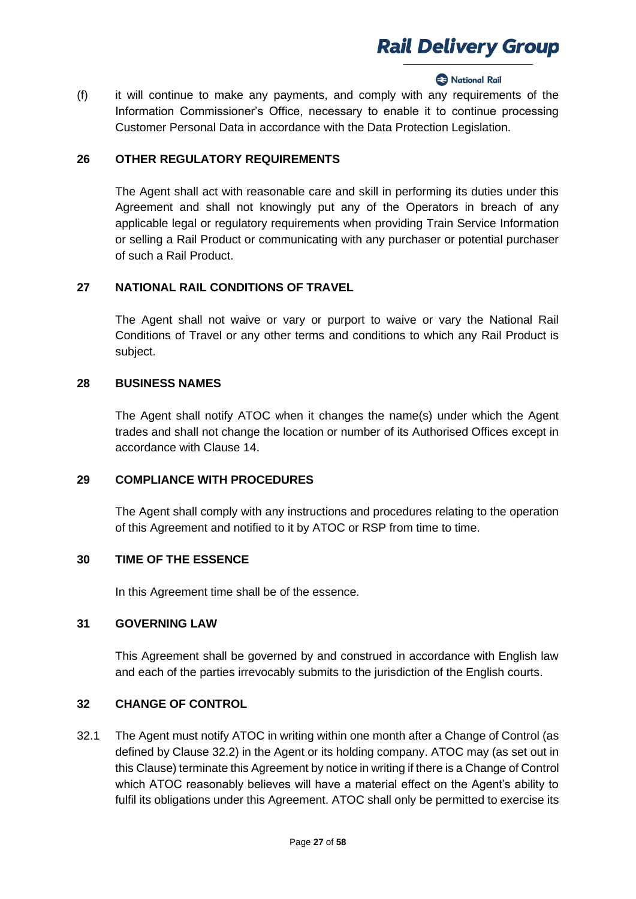#### **2** National Rail

(f) it will continue to make any payments, and comply with any requirements of the Information Commissioner's Office, necessary to enable it to continue processing Customer Personal Data in accordance with the Data Protection Legislation.

### **26 OTHER REGULATORY REQUIREMENTS**

The Agent shall act with reasonable care and skill in performing its duties under this Agreement and shall not knowingly put any of the Operators in breach of any applicable legal or regulatory requirements when providing Train Service Information or selling a Rail Product or communicating with any purchaser or potential purchaser of such a Rail Product.

## **27 NATIONAL RAIL CONDITIONS OF TRAVEL**

The Agent shall not waive or vary or purport to waive or vary the National Rail Conditions of Travel or any other terms and conditions to which any Rail Product is subject.

#### **28 BUSINESS NAMES**

The Agent shall notify ATOC when it changes the name(s) under which the Agent trades and shall not change the location or number of its Authorised Offices except in accordance with Clause 14.

#### **29 COMPLIANCE WITH PROCEDURES**

The Agent shall comply with any instructions and procedures relating to the operation of this Agreement and notified to it by ATOC or RSP from time to time.

### **30 TIME OF THE ESSENCE**

In this Agreement time shall be of the essence.

#### **31 GOVERNING LAW**

This Agreement shall be governed by and construed in accordance with English law and each of the parties irrevocably submits to the jurisdiction of the English courts.

#### **32 CHANGE OF CONTROL**

32.1 The Agent must notify ATOC in writing within one month after a Change of Control (as defined by Clause 32.2) in the Agent or its holding company. ATOC may (as set out in this Clause) terminate this Agreement by notice in writing if there is a Change of Control which ATOC reasonably believes will have a material effect on the Agent's ability to fulfil its obligations under this Agreement. ATOC shall only be permitted to exercise its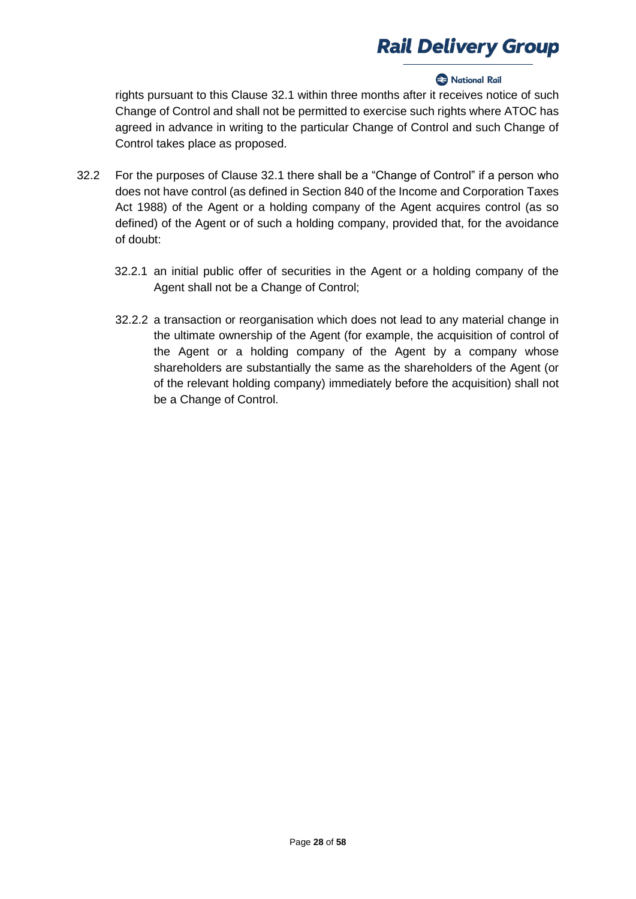### **2** National Rail

rights pursuant to this Clause 32.1 within three months after it receives notice of such Change of Control and shall not be permitted to exercise such rights where ATOC has agreed in advance in writing to the particular Change of Control and such Change of Control takes place as proposed.

- 32.2 For the purposes of Clause 32.1 there shall be a "Change of Control" if a person who does not have control (as defined in Section 840 of the Income and Corporation Taxes Act 1988) of the Agent or a holding company of the Agent acquires control (as so defined) of the Agent or of such a holding company, provided that, for the avoidance of doubt:
	- 32.2.1 an initial public offer of securities in the Agent or a holding company of the Agent shall not be a Change of Control;
	- 32.2.2 a transaction or reorganisation which does not lead to any material change in the ultimate ownership of the Agent (for example, the acquisition of control of the Agent or a holding company of the Agent by a company whose shareholders are substantially the same as the shareholders of the Agent (or of the relevant holding company) immediately before the acquisition) shall not be a Change of Control.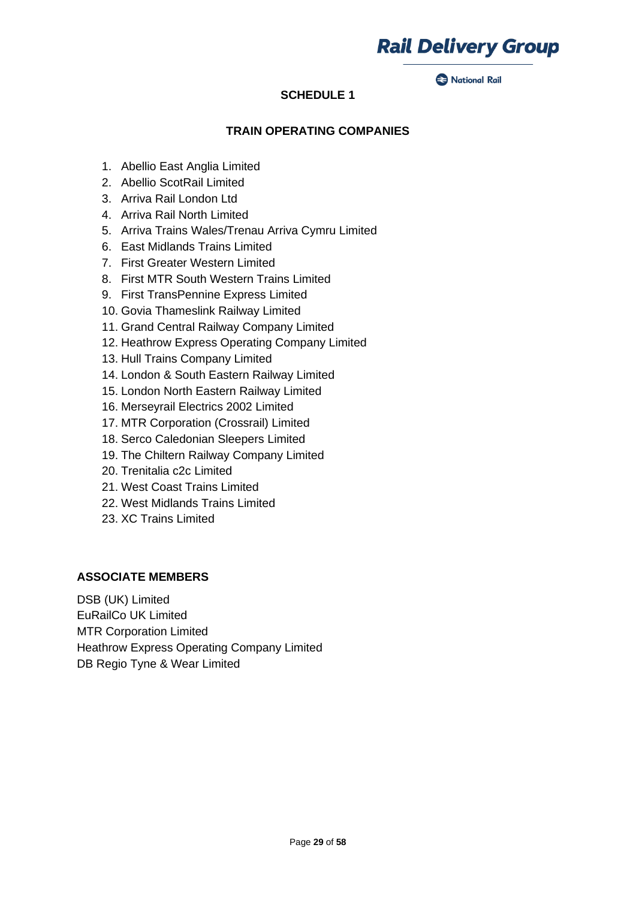

#### **A** National Rail

## **SCHEDULE 1**

## **TRAIN OPERATING COMPANIES**

- 1. Abellio East Anglia Limited
- 2. Abellio ScotRail Limited
- 3. Arriva Rail London Ltd
- 4. Arriva Rail North Limited
- 5. Arriva Trains Wales/Trenau Arriva Cymru Limited
- 6. East Midlands Trains Limited
- 7. First Greater Western Limited
- 8. First MTR South Western Trains Limited
- 9. First TransPennine Express Limited
- 10. Govia Thameslink Railway Limited
- 11. Grand Central Railway Company Limited
- 12. Heathrow Express Operating Company Limited
- 13. Hull Trains Company Limited
- 14. London & South Eastern Railway Limited
- 15. London North Eastern Railway Limited
- 16. Merseyrail Electrics 2002 Limited
- 17. MTR Corporation (Crossrail) Limited
- 18. Serco Caledonian Sleepers Limited
- 19. The Chiltern Railway Company Limited
- 20. Trenitalia c2c Limited
- 21. West Coast Trains Limited
- 22. West Midlands Trains Limited
- 23. XC Trains Limited

#### **ASSOCIATE MEMBERS**

DSB (UK) Limited EuRailCo UK Limited MTR Corporation Limited Heathrow Express Operating Company Limited DB Regio Tyne & Wear Limited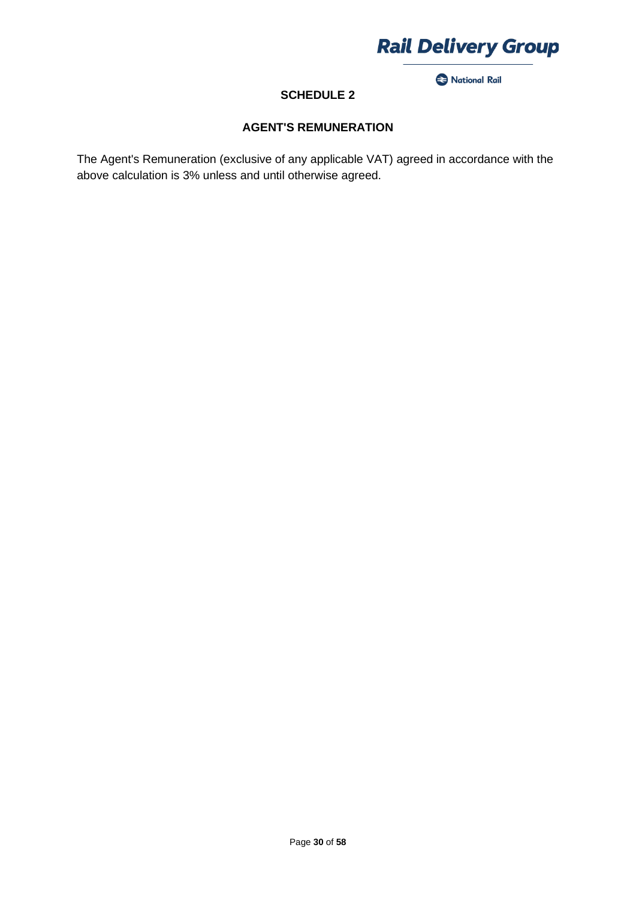

National Rail

## **SCHEDULE 2**

## **AGENT'S REMUNERATION**

The Agent's Remuneration (exclusive of any applicable VAT) agreed in accordance with the above calculation is 3% unless and until otherwise agreed.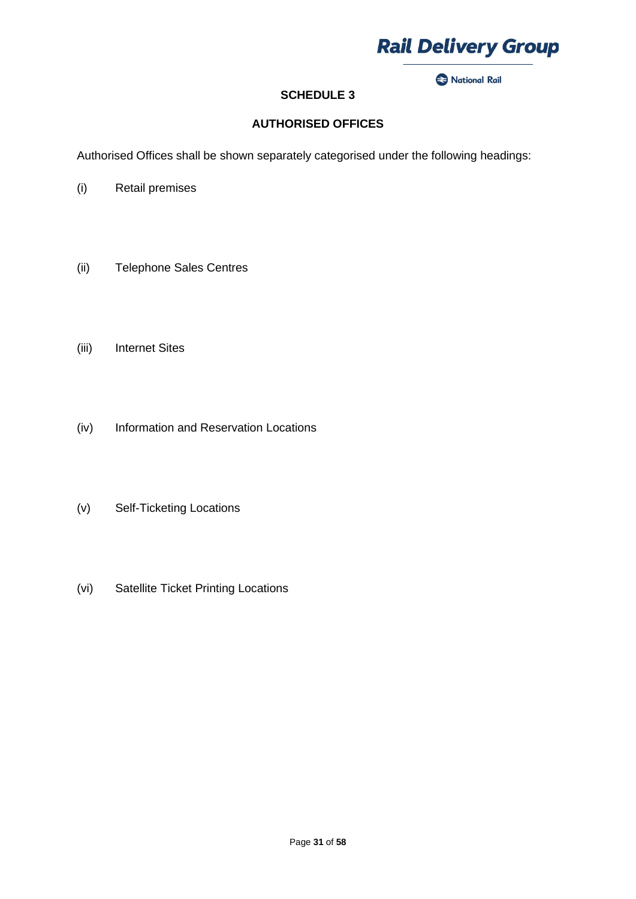

National Rail

## **SCHEDULE 3**

## **AUTHORISED OFFICES**

Authorised Offices shall be shown separately categorised under the following headings:

- (i) Retail premises
- (ii) Telephone Sales Centres
- (iii) Internet Sites
- (iv) Information and Reservation Locations
- (v) Self-Ticketing Locations
- (vi) Satellite Ticket Printing Locations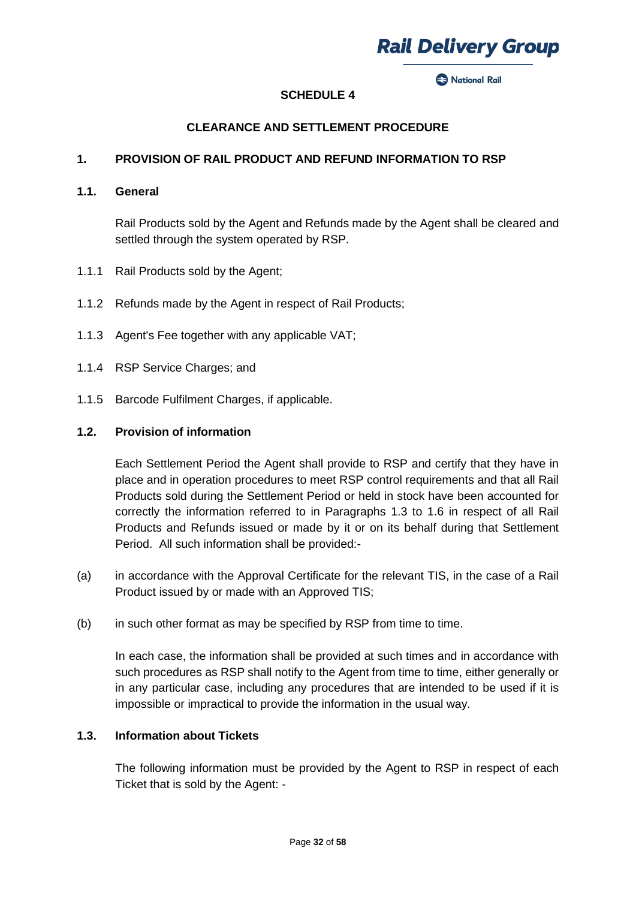

**Rack National Rail** 

## **SCHEDULE 4**

## **CLEARANCE AND SETTLEMENT PROCEDURE**

### **1. PROVISION OF RAIL PRODUCT AND REFUND INFORMATION TO RSP**

#### **1.1. General**

Rail Products sold by the Agent and Refunds made by the Agent shall be cleared and settled through the system operated by RSP.

- 1.1.1 Rail Products sold by the Agent;
- 1.1.2 Refunds made by the Agent in respect of Rail Products;
- 1.1.3 Agent's Fee together with any applicable VAT;
- 1.1.4 RSP Service Charges; and
- 1.1.5 Barcode Fulfilment Charges, if applicable.

#### **1.2. Provision of information**

Each Settlement Period the Agent shall provide to RSP and certify that they have in place and in operation procedures to meet RSP control requirements and that all Rail Products sold during the Settlement Period or held in stock have been accounted for correctly the information referred to in Paragraphs 1.3 to 1.6 in respect of all Rail Products and Refunds issued or made by it or on its behalf during that Settlement Period. All such information shall be provided:-

- (a) in accordance with the Approval Certificate for the relevant TIS, in the case of a Rail Product issued by or made with an Approved TIS;
- (b) in such other format as may be specified by RSP from time to time.

In each case, the information shall be provided at such times and in accordance with such procedures as RSP shall notify to the Agent from time to time, either generally or in any particular case, including any procedures that are intended to be used if it is impossible or impractical to provide the information in the usual way.

### **1.3. Information about Tickets**

The following information must be provided by the Agent to RSP in respect of each Ticket that is sold by the Agent: -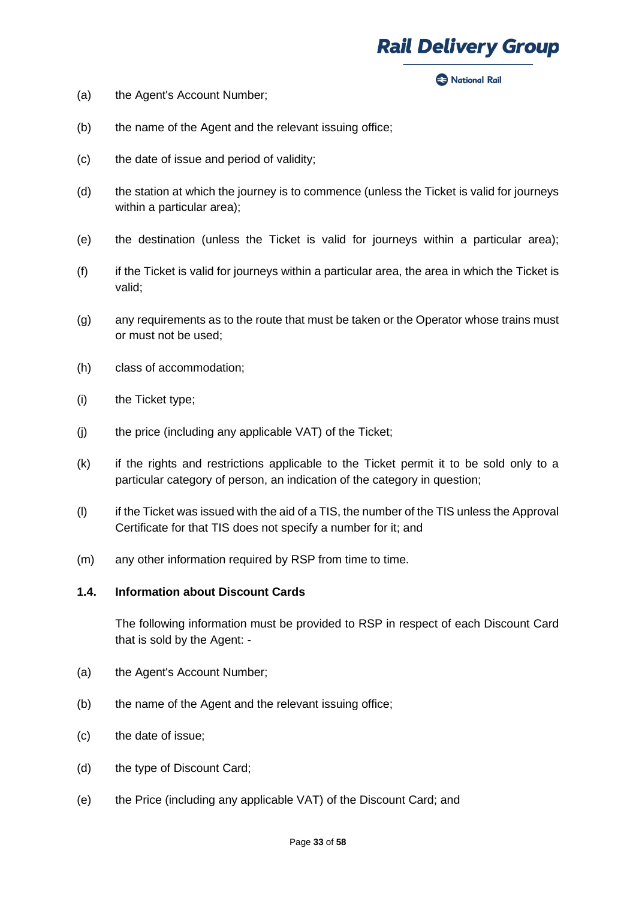#### **Rack National Rail**

- (a) the Agent's Account Number;
- (b) the name of the Agent and the relevant issuing office;
- (c) the date of issue and period of validity;
- (d) the station at which the journey is to commence (unless the Ticket is valid for journeys within a particular area);
- (e) the destination (unless the Ticket is valid for journeys within a particular area);
- $(f)$  if the Ticket is valid for journeys within a particular area, the area in which the Ticket is valid;
- (g) any requirements as to the route that must be taken or the Operator whose trains must or must not be used;
- (h) class of accommodation;
- (i) the Ticket type;
- (j) the price (including any applicable VAT) of the Ticket;
- (k) if the rights and restrictions applicable to the Ticket permit it to be sold only to a particular category of person, an indication of the category in question;
- (l) if the Ticket was issued with the aid of a TIS, the number of the TIS unless the Approval Certificate for that TIS does not specify a number for it; and
- (m) any other information required by RSP from time to time.

## **1.4. Information about Discount Cards**

The following information must be provided to RSP in respect of each Discount Card that is sold by the Agent: -

- (a) the Agent's Account Number;
- (b) the name of the Agent and the relevant issuing office;
- (c) the date of issue;
- (d) the type of Discount Card;
- (e) the Price (including any applicable VAT) of the Discount Card; and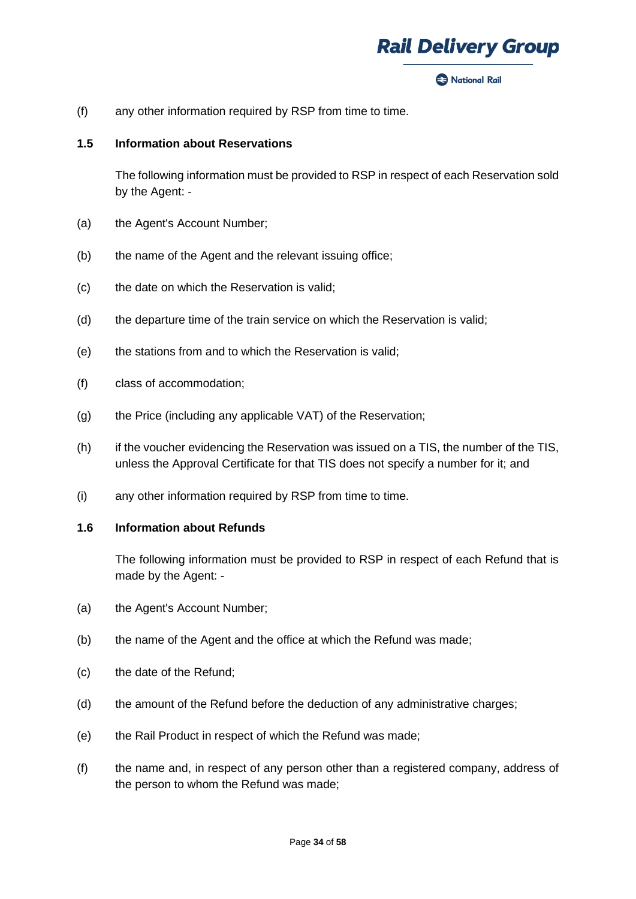

**Rack National Rail** 

(f) any other information required by RSP from time to time.

#### **1.5 Information about Reservations**

The following information must be provided to RSP in respect of each Reservation sold by the Agent: -

- (a) the Agent's Account Number;
- (b) the name of the Agent and the relevant issuing office;
- (c) the date on which the Reservation is valid;
- (d) the departure time of the train service on which the Reservation is valid;
- (e) the stations from and to which the Reservation is valid;
- (f) class of accommodation;
- (g) the Price (including any applicable VAT) of the Reservation;
- (h) if the voucher evidencing the Reservation was issued on a TIS, the number of the TIS, unless the Approval Certificate for that TIS does not specify a number for it; and
- (i) any other information required by RSP from time to time.

#### **1.6 Information about Refunds**

The following information must be provided to RSP in respect of each Refund that is made by the Agent: -

- (a) the Agent's Account Number;
- (b) the name of the Agent and the office at which the Refund was made;
- (c) the date of the Refund;
- (d) the amount of the Refund before the deduction of any administrative charges;
- (e) the Rail Product in respect of which the Refund was made;
- (f) the name and, in respect of any person other than a registered company, address of the person to whom the Refund was made;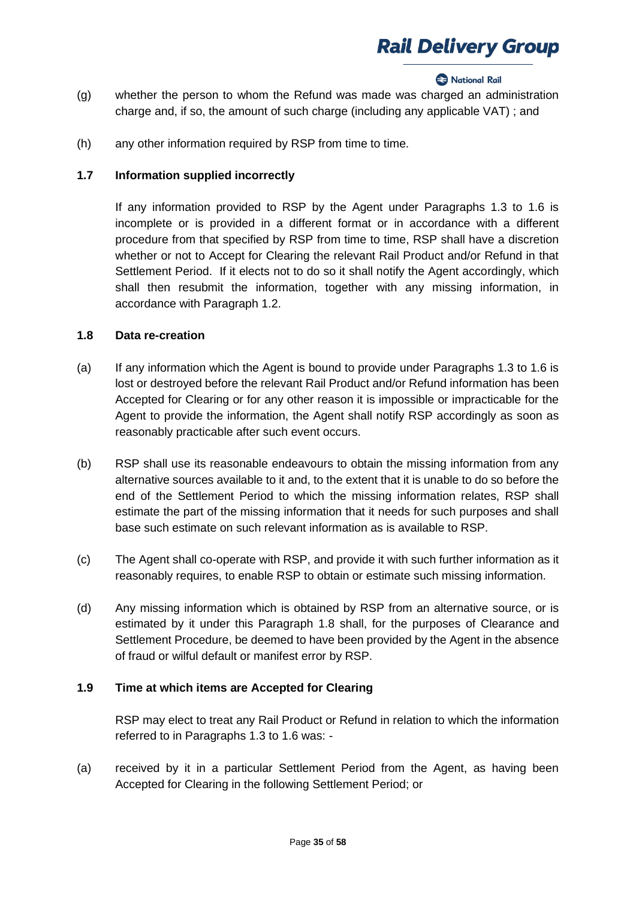### **Rational Rail**

- (g) whether the person to whom the Refund was made was charged an administration charge and, if so, the amount of such charge (including any applicable VAT) ; and
- (h) any other information required by RSP from time to time.

## **1.7 Information supplied incorrectly**

If any information provided to RSP by the Agent under Paragraphs 1.3 to 1.6 is incomplete or is provided in a different format or in accordance with a different procedure from that specified by RSP from time to time, RSP shall have a discretion whether or not to Accept for Clearing the relevant Rail Product and/or Refund in that Settlement Period. If it elects not to do so it shall notify the Agent accordingly, which shall then resubmit the information, together with any missing information, in accordance with Paragraph 1.2.

### **1.8 Data re-creation**

- (a) If any information which the Agent is bound to provide under Paragraphs 1.3 to 1.6 is lost or destroyed before the relevant Rail Product and/or Refund information has been Accepted for Clearing or for any other reason it is impossible or impracticable for the Agent to provide the information, the Agent shall notify RSP accordingly as soon as reasonably practicable after such event occurs.
- (b) RSP shall use its reasonable endeavours to obtain the missing information from any alternative sources available to it and, to the extent that it is unable to do so before the end of the Settlement Period to which the missing information relates, RSP shall estimate the part of the missing information that it needs for such purposes and shall base such estimate on such relevant information as is available to RSP.
- (c) The Agent shall co-operate with RSP, and provide it with such further information as it reasonably requires, to enable RSP to obtain or estimate such missing information.
- (d) Any missing information which is obtained by RSP from an alternative source, or is estimated by it under this Paragraph 1.8 shall, for the purposes of Clearance and Settlement Procedure, be deemed to have been provided by the Agent in the absence of fraud or wilful default or manifest error by RSP.

## **1.9 Time at which items are Accepted for Clearing**

RSP may elect to treat any Rail Product or Refund in relation to which the information referred to in Paragraphs 1.3 to 1.6 was: -

(a) received by it in a particular Settlement Period from the Agent, as having been Accepted for Clearing in the following Settlement Period; or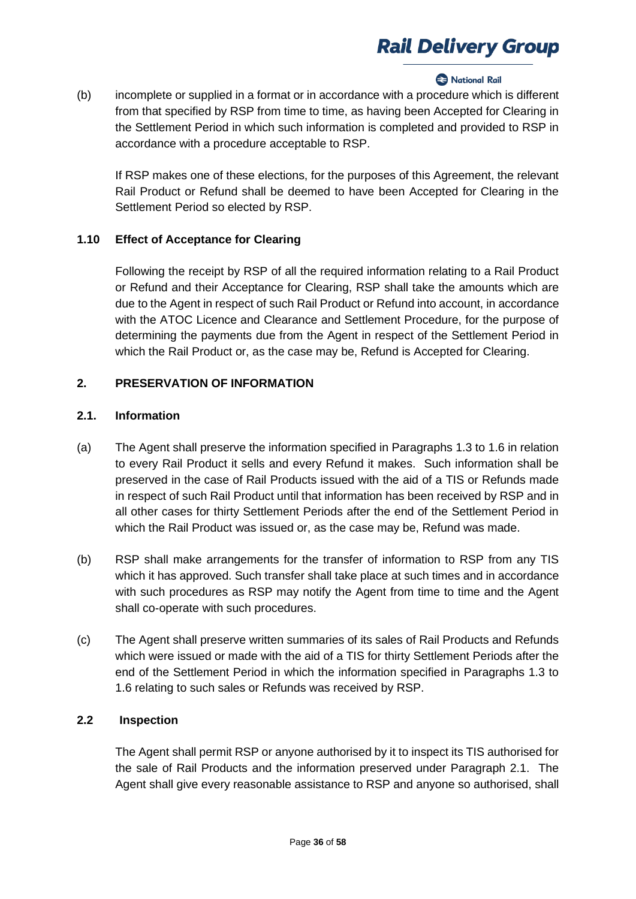### **Rational Rail**

(b) incomplete or supplied in a format or in accordance with a procedure which is different from that specified by RSP from time to time, as having been Accepted for Clearing in the Settlement Period in which such information is completed and provided to RSP in accordance with a procedure acceptable to RSP.

If RSP makes one of these elections, for the purposes of this Agreement, the relevant Rail Product or Refund shall be deemed to have been Accepted for Clearing in the Settlement Period so elected by RSP.

## **1.10 Effect of Acceptance for Clearing**

Following the receipt by RSP of all the required information relating to a Rail Product or Refund and their Acceptance for Clearing, RSP shall take the amounts which are due to the Agent in respect of such Rail Product or Refund into account, in accordance with the ATOC Licence and Clearance and Settlement Procedure, for the purpose of determining the payments due from the Agent in respect of the Settlement Period in which the Rail Product or, as the case may be, Refund is Accepted for Clearing.

## **2. PRESERVATION OF INFORMATION**

## **2.1. Information**

- (a) The Agent shall preserve the information specified in Paragraphs 1.3 to 1.6 in relation to every Rail Product it sells and every Refund it makes. Such information shall be preserved in the case of Rail Products issued with the aid of a TIS or Refunds made in respect of such Rail Product until that information has been received by RSP and in all other cases for thirty Settlement Periods after the end of the Settlement Period in which the Rail Product was issued or, as the case may be, Refund was made.
- (b) RSP shall make arrangements for the transfer of information to RSP from any TIS which it has approved. Such transfer shall take place at such times and in accordance with such procedures as RSP may notify the Agent from time to time and the Agent shall co-operate with such procedures.
- (c) The Agent shall preserve written summaries of its sales of Rail Products and Refunds which were issued or made with the aid of a TIS for thirty Settlement Periods after the end of the Settlement Period in which the information specified in Paragraphs 1.3 to 1.6 relating to such sales or Refunds was received by RSP.

## **2.2 Inspection**

The Agent shall permit RSP or anyone authorised by it to inspect its TIS authorised for the sale of Rail Products and the information preserved under Paragraph 2.1. The Agent shall give every reasonable assistance to RSP and anyone so authorised, shall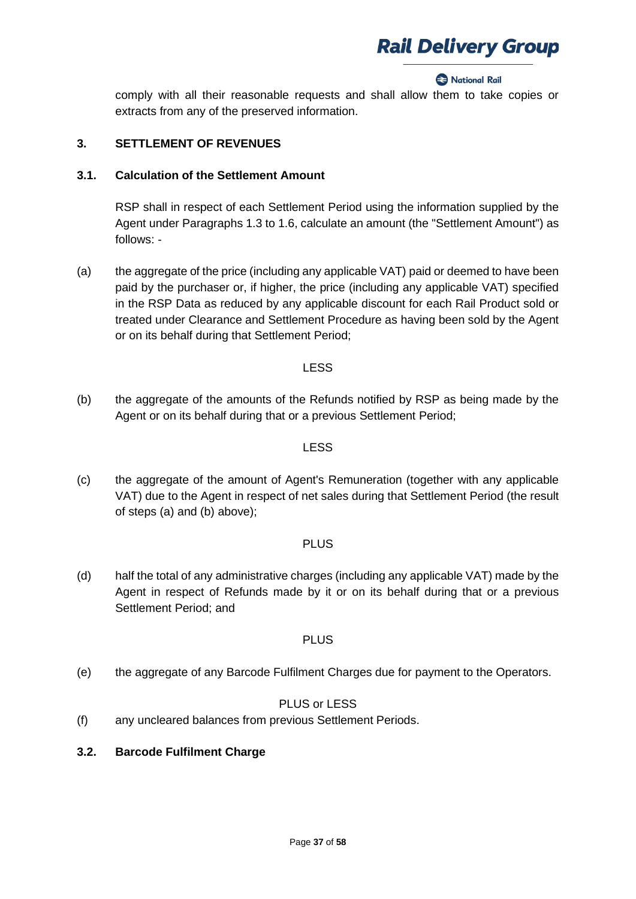#### **2** National Rail

comply with all their reasonable requests and shall allow them to take copies or extracts from any of the preserved information.

### **3. SETTLEMENT OF REVENUES**

#### **3.1. Calculation of the Settlement Amount**

RSP shall in respect of each Settlement Period using the information supplied by the Agent under Paragraphs 1.3 to 1.6, calculate an amount (the "Settlement Amount") as follows: -

(a) the aggregate of the price (including any applicable VAT) paid or deemed to have been paid by the purchaser or, if higher, the price (including any applicable VAT) specified in the RSP Data as reduced by any applicable discount for each Rail Product sold or treated under Clearance and Settlement Procedure as having been sold by the Agent or on its behalf during that Settlement Period;

### LESS

(b) the aggregate of the amounts of the Refunds notified by RSP as being made by the Agent or on its behalf during that or a previous Settlement Period;

### LESS

(c) the aggregate of the amount of Agent's Remuneration (together with any applicable VAT) due to the Agent in respect of net sales during that Settlement Period (the result of steps (a) and (b) above);

## PLUS

(d) half the total of any administrative charges (including any applicable VAT) made by the Agent in respect of Refunds made by it or on its behalf during that or a previous Settlement Period; and

## PLUS

(e) the aggregate of any Barcode Fulfilment Charges due for payment to the Operators.

## PLUS or LESS

- (f) any uncleared balances from previous Settlement Periods.
- **3.2. Barcode Fulfilment Charge**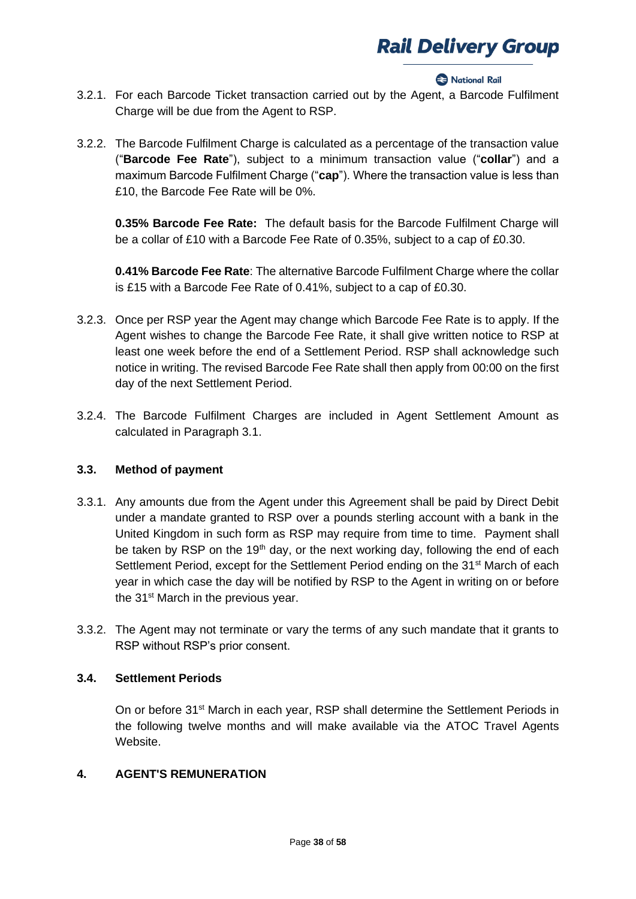#### **2** National Rail

- 3.2.1. For each Barcode Ticket transaction carried out by the Agent, a Barcode Fulfilment Charge will be due from the Agent to RSP.
- 3.2.2. The Barcode Fulfilment Charge is calculated as a percentage of the transaction value ("**Barcode Fee Rate**"), subject to a minimum transaction value ("**collar**") and a maximum Barcode Fulfilment Charge ("**cap**"). Where the transaction value is less than £10, the Barcode Fee Rate will be 0%.

**0.35% Barcode Fee Rate:** The default basis for the Barcode Fulfilment Charge will be a collar of £10 with a Barcode Fee Rate of 0.35%, subject to a cap of £0.30.

**0.41% Barcode Fee Rate**: The alternative Barcode Fulfilment Charge where the collar is £15 with a Barcode Fee Rate of 0.41%, subject to a cap of £0.30.

- 3.2.3. Once per RSP year the Agent may change which Barcode Fee Rate is to apply. If the Agent wishes to change the Barcode Fee Rate, it shall give written notice to RSP at least one week before the end of a Settlement Period. RSP shall acknowledge such notice in writing. The revised Barcode Fee Rate shall then apply from 00:00 on the first day of the next Settlement Period.
- 3.2.4. The Barcode Fulfilment Charges are included in Agent Settlement Amount as calculated in Paragraph 3.1.

## **3.3. Method of payment**

- 3.3.1. Any amounts due from the Agent under this Agreement shall be paid by Direct Debit under a mandate granted to RSP over a pounds sterling account with a bank in the United Kingdom in such form as RSP may require from time to time. Payment shall be taken by RSP on the 19<sup>th</sup> day, or the next working day, following the end of each Settlement Period, except for the Settlement Period ending on the 31<sup>st</sup> March of each year in which case the day will be notified by RSP to the Agent in writing on or before the 31<sup>st</sup> March in the previous year.
- 3.3.2. The Agent may not terminate or vary the terms of any such mandate that it grants to RSP without RSP's prior consent.

## **3.4. Settlement Periods**

On or before 31st March in each year, RSP shall determine the Settlement Periods in the following twelve months and will make available via the ATOC Travel Agents Website.

## **4. AGENT'S REMUNERATION**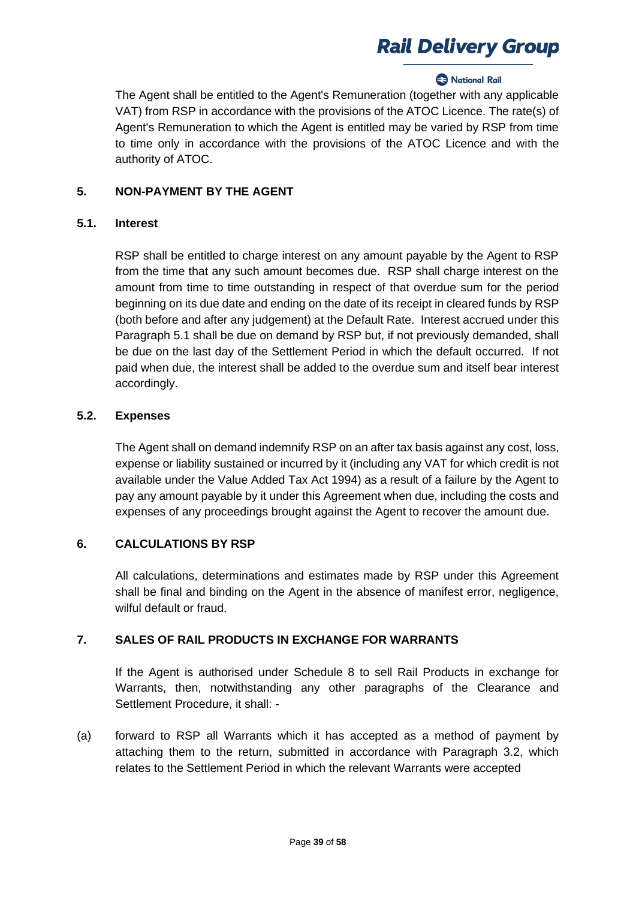## **2** National Rail

The Agent shall be entitled to the Agent's Remuneration (together with any applicable VAT) from RSP in accordance with the provisions of the ATOC Licence. The rate(s) of Agent's Remuneration to which the Agent is entitled may be varied by RSP from time to time only in accordance with the provisions of the ATOC Licence and with the authority of ATOC.

### **5. NON-PAYMENT BY THE AGENT**

#### **5.1. Interest**

RSP shall be entitled to charge interest on any amount payable by the Agent to RSP from the time that any such amount becomes due. RSP shall charge interest on the amount from time to time outstanding in respect of that overdue sum for the period beginning on its due date and ending on the date of its receipt in cleared funds by RSP (both before and after any judgement) at the Default Rate. Interest accrued under this Paragraph 5.1 shall be due on demand by RSP but, if not previously demanded, shall be due on the last day of the Settlement Period in which the default occurred. If not paid when due, the interest shall be added to the overdue sum and itself bear interest accordingly.

## **5.2. Expenses**

The Agent shall on demand indemnify RSP on an after tax basis against any cost, loss, expense or liability sustained or incurred by it (including any VAT for which credit is not available under the Value Added Tax Act 1994) as a result of a failure by the Agent to pay any amount payable by it under this Agreement when due, including the costs and expenses of any proceedings brought against the Agent to recover the amount due.

## **6. CALCULATIONS BY RSP**

All calculations, determinations and estimates made by RSP under this Agreement shall be final and binding on the Agent in the absence of manifest error, negligence, wilful default or fraud.

## **7. SALES OF RAIL PRODUCTS IN EXCHANGE FOR WARRANTS**

If the Agent is authorised under Schedule 8 to sell Rail Products in exchange for Warrants, then, notwithstanding any other paragraphs of the Clearance and Settlement Procedure, it shall: -

(a) forward to RSP all Warrants which it has accepted as a method of payment by attaching them to the return, submitted in accordance with Paragraph 3.2, which relates to the Settlement Period in which the relevant Warrants were accepted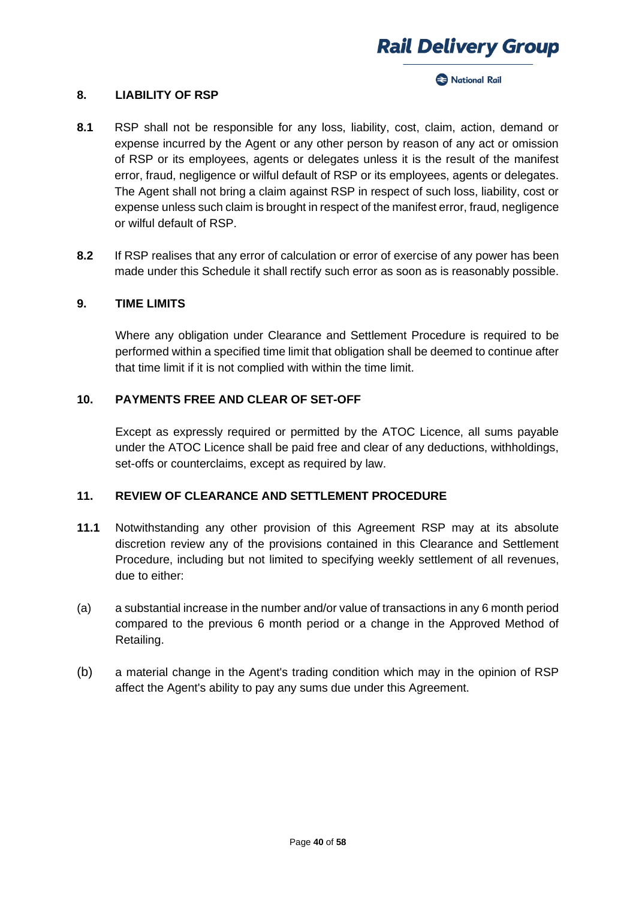

**Racional Rail** 

## **8. LIABILITY OF RSP**

- **8.1** RSP shall not be responsible for any loss, liability, cost, claim, action, demand or expense incurred by the Agent or any other person by reason of any act or omission of RSP or its employees, agents or delegates unless it is the result of the manifest error, fraud, negligence or wilful default of RSP or its employees, agents or delegates. The Agent shall not bring a claim against RSP in respect of such loss, liability, cost or expense unless such claim is brought in respect of the manifest error, fraud, negligence or wilful default of RSP.
- **8.2** If RSP realises that any error of calculation or error of exercise of any power has been made under this Schedule it shall rectify such error as soon as is reasonably possible.

#### **9. TIME LIMITS**

Where any obligation under Clearance and Settlement Procedure is required to be performed within a specified time limit that obligation shall be deemed to continue after that time limit if it is not complied with within the time limit.

### **10. PAYMENTS FREE AND CLEAR OF SET-OFF**

Except as expressly required or permitted by the ATOC Licence, all sums payable under the ATOC Licence shall be paid free and clear of any deductions, withholdings, set-offs or counterclaims, except as required by law.

## **11. REVIEW OF CLEARANCE AND SETTLEMENT PROCEDURE**

- **11.1** Notwithstanding any other provision of this Agreement RSP may at its absolute discretion review any of the provisions contained in this Clearance and Settlement Procedure, including but not limited to specifying weekly settlement of all revenues, due to either:
- (a) a substantial increase in the number and/or value of transactions in any 6 month period compared to the previous 6 month period or a change in the Approved Method of Retailing.
- (b) a material change in the Agent's trading condition which may in the opinion of RSP affect the Agent's ability to pay any sums due under this Agreement.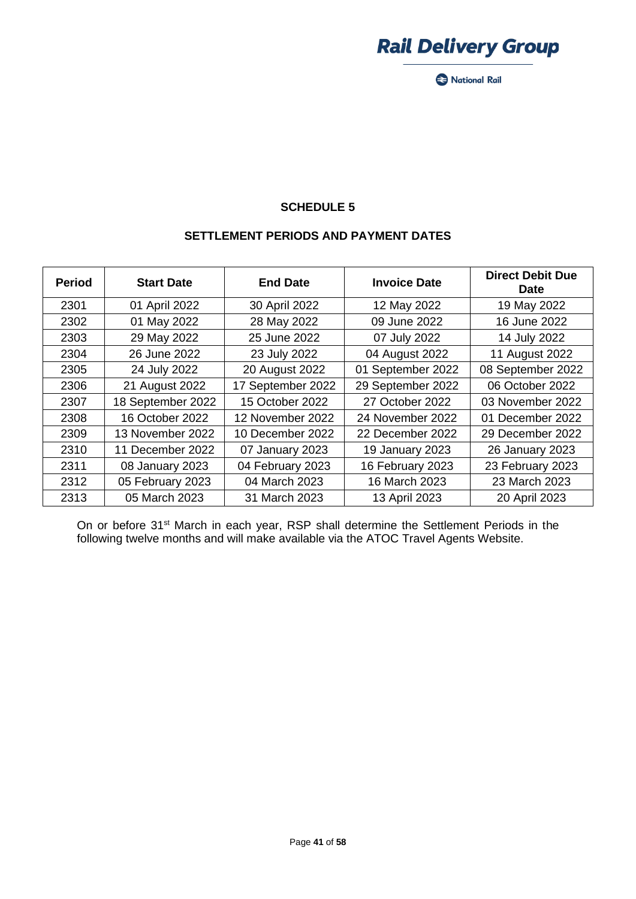

National Rail

## **SCHEDULE 5**

### **SETTLEMENT PERIODS AND PAYMENT DATES**

| <b>Period</b> | <b>Start Date</b> | <b>End Date</b>   | <b>Invoice Date</b> | <b>Direct Debit Due</b><br><b>Date</b> |
|---------------|-------------------|-------------------|---------------------|----------------------------------------|
| 2301          | 01 April 2022     | 30 April 2022     | 12 May 2022         | 19 May 2022                            |
| 2302          | 01 May 2022       | 28 May 2022       | 09 June 2022        | 16 June 2022                           |
| 2303          | 29 May 2022       | 25 June 2022      | 07 July 2022        | 14 July 2022                           |
| 2304          | 26 June 2022      | 23 July 2022      | 04 August 2022      | 11 August 2022                         |
| 2305          | 24 July 2022      | 20 August 2022    | 01 September 2022   | 08 September 2022                      |
| 2306          | 21 August 2022    | 17 September 2022 | 29 September 2022   | 06 October 2022                        |
| 2307          | 18 September 2022 | 15 October 2022   | 27 October 2022     | 03 November 2022                       |
| 2308          | 16 October 2022   | 12 November 2022  | 24 November 2022    | 01 December 2022                       |
| 2309          | 13 November 2022  | 10 December 2022  | 22 December 2022    | 29 December 2022                       |
| 2310          | 11 December 2022  | 07 January 2023   | 19 January 2023     | 26 January 2023                        |
| 2311          | 08 January 2023   | 04 February 2023  | 16 February 2023    | 23 February 2023                       |
| 2312          | 05 February 2023  | 04 March 2023     | 16 March 2023       | 23 March 2023                          |
| 2313          | 05 March 2023     | 31 March 2023     | 13 April 2023       | 20 April 2023                          |

On or before 31<sup>st</sup> March in each year, RSP shall determine the Settlement Periods in the following twelve months and will make available via the ATOC Travel Agents Website.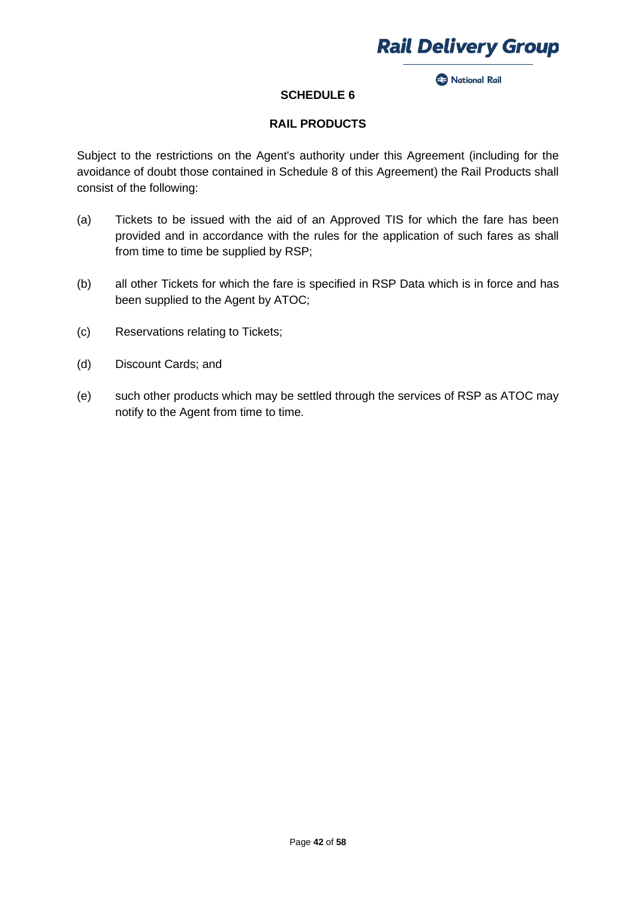

**2** National Rail

## **SCHEDULE 6**

## **RAIL PRODUCTS**

Subject to the restrictions on the Agent's authority under this Agreement (including for the avoidance of doubt those contained in Schedule 8 of this Agreement) the Rail Products shall consist of the following:

- (a) Tickets to be issued with the aid of an Approved TIS for which the fare has been provided and in accordance with the rules for the application of such fares as shall from time to time be supplied by RSP;
- (b) all other Tickets for which the fare is specified in RSP Data which is in force and has been supplied to the Agent by ATOC;
- (c) Reservations relating to Tickets;
- (d) Discount Cards; and
- (e) such other products which may be settled through the services of RSP as ATOC may notify to the Agent from time to time.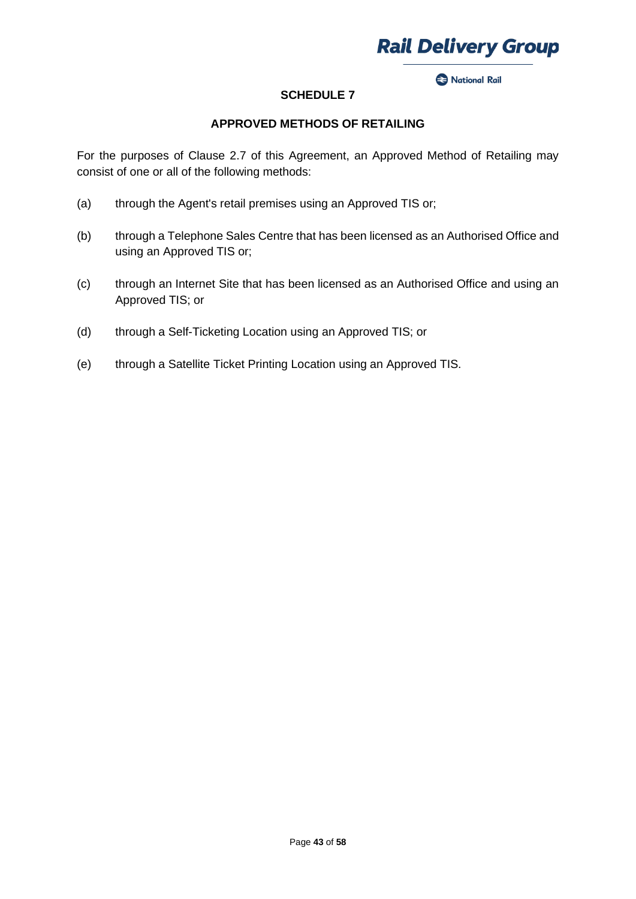

Rational Rail

## **SCHEDULE 7**

### **APPROVED METHODS OF RETAILING**

For the purposes of Clause 2.7 of this Agreement, an Approved Method of Retailing may consist of one or all of the following methods:

- (a) through the Agent's retail premises using an Approved TIS or;
- (b) through a Telephone Sales Centre that has been licensed as an Authorised Office and using an Approved TIS or;
- (c) through an Internet Site that has been licensed as an Authorised Office and using an Approved TIS; or
- (d) through a Self-Ticketing Location using an Approved TIS; or
- (e) through a Satellite Ticket Printing Location using an Approved TIS.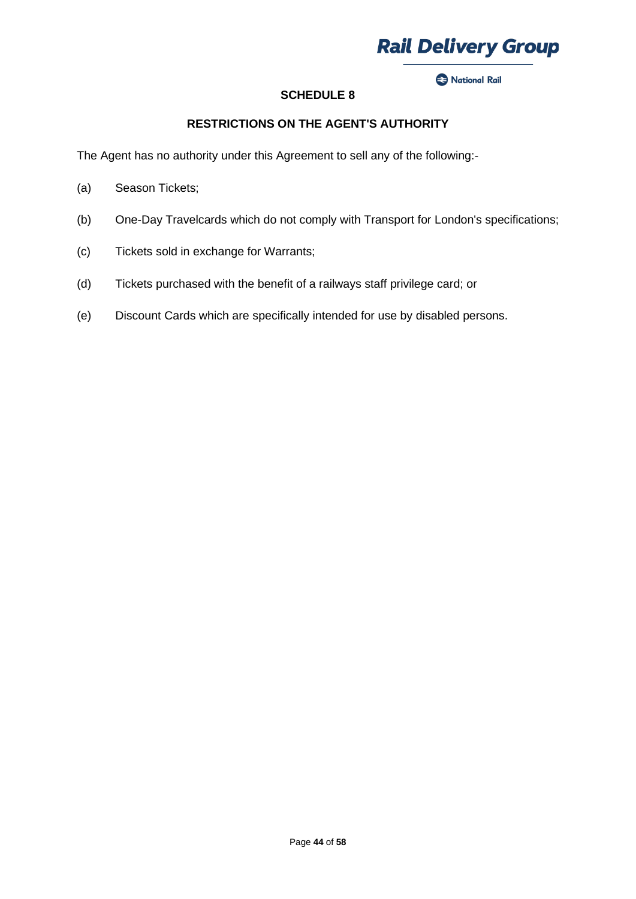

Rational Rail

## **SCHEDULE 8**

## **RESTRICTIONS ON THE AGENT'S AUTHORITY**

The Agent has no authority under this Agreement to sell any of the following:-

- (a) Season Tickets;
- (b) One-Day Travelcards which do not comply with Transport for London's specifications;
- (c) Tickets sold in exchange for Warrants;
- (d) Tickets purchased with the benefit of a railways staff privilege card; or
- (e) Discount Cards which are specifically intended for use by disabled persons.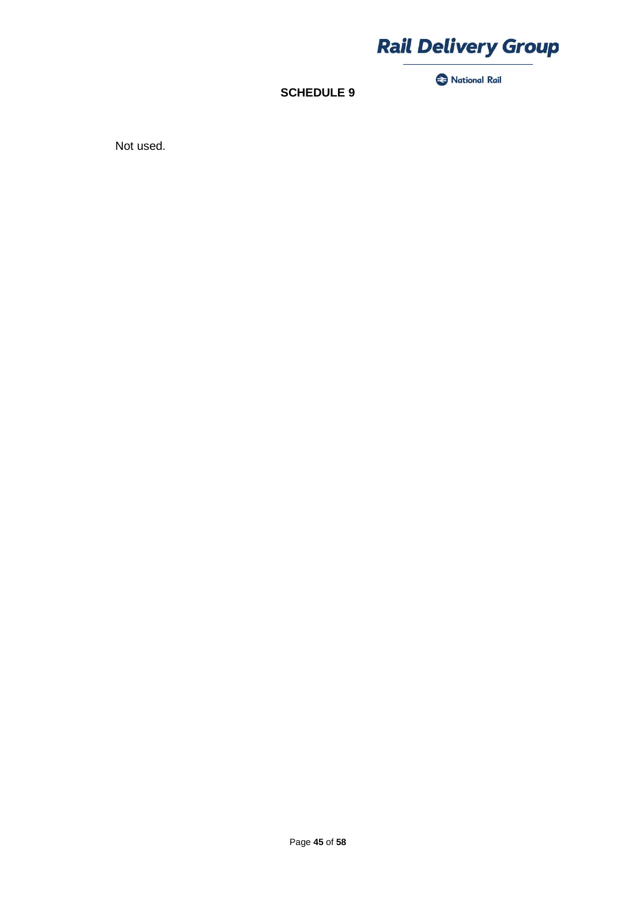

National Rail

**SCHEDULE 9**

Not used.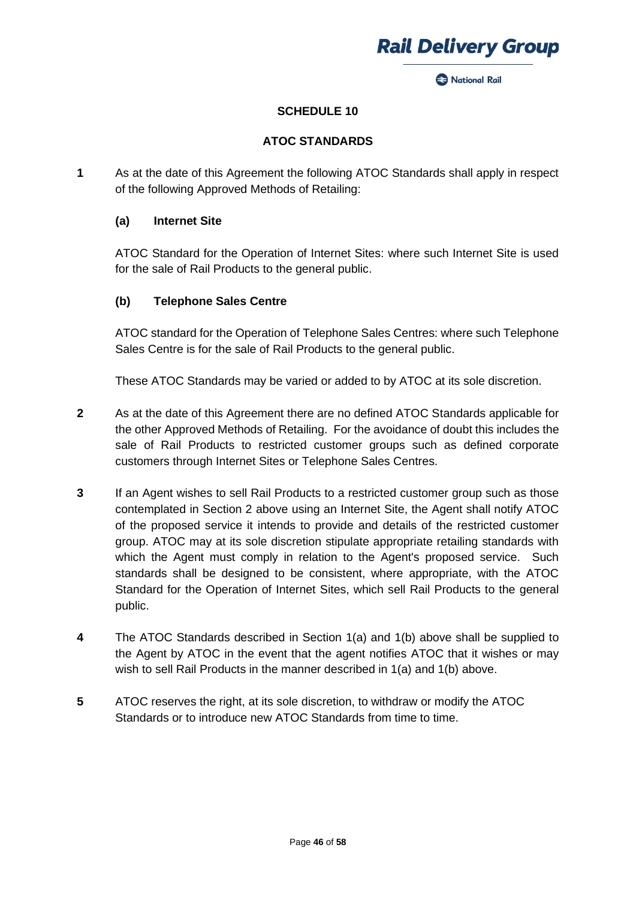

**Rack National Rail** 

## **SCHEDULE 10**

### **ATOC STANDARDS**

**1** As at the date of this Agreement the following ATOC Standards shall apply in respect of the following Approved Methods of Retailing:

#### **(a) Internet Site**

ATOC Standard for the Operation of Internet Sites: where such Internet Site is used for the sale of Rail Products to the general public.

### **(b) Telephone Sales Centre**

ATOC standard for the Operation of Telephone Sales Centres: where such Telephone Sales Centre is for the sale of Rail Products to the general public.

These ATOC Standards may be varied or added to by ATOC at its sole discretion.

- **2** As at the date of this Agreement there are no defined ATOC Standards applicable for the other Approved Methods of Retailing. For the avoidance of doubt this includes the sale of Rail Products to restricted customer groups such as defined corporate customers through Internet Sites or Telephone Sales Centres.
- **3** If an Agent wishes to sell Rail Products to a restricted customer group such as those contemplated in Section 2 above using an Internet Site, the Agent shall notify ATOC of the proposed service it intends to provide and details of the restricted customer group. ATOC may at its sole discretion stipulate appropriate retailing standards with which the Agent must comply in relation to the Agent's proposed service. Such standards shall be designed to be consistent, where appropriate, with the ATOC Standard for the Operation of Internet Sites, which sell Rail Products to the general public.
- **4** The ATOC Standards described in Section 1(a) and 1(b) above shall be supplied to the Agent by ATOC in the event that the agent notifies ATOC that it wishes or may wish to sell Rail Products in the manner described in 1(a) and 1(b) above.
- **5** ATOC reserves the right, at its sole discretion, to withdraw or modify the ATOC Standards or to introduce new ATOC Standards from time to time.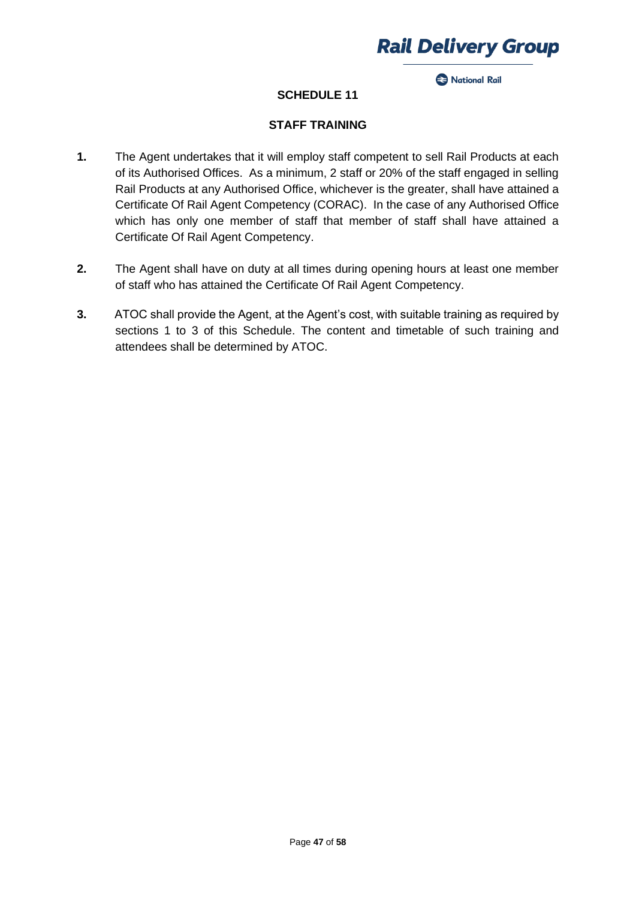

**2** National Rail

## **SCHEDULE 11**

### **STAFF TRAINING**

- **1.** The Agent undertakes that it will employ staff competent to sell Rail Products at each of its Authorised Offices. As a minimum, 2 staff or 20% of the staff engaged in selling Rail Products at any Authorised Office, whichever is the greater, shall have attained a Certificate Of Rail Agent Competency (CORAC). In the case of any Authorised Office which has only one member of staff that member of staff shall have attained a Certificate Of Rail Agent Competency.
- **2.** The Agent shall have on duty at all times during opening hours at least one member of staff who has attained the Certificate Of Rail Agent Competency.
- **3.** ATOC shall provide the Agent, at the Agent's cost, with suitable training as required by sections 1 to 3 of this Schedule. The content and timetable of such training and attendees shall be determined by ATOC.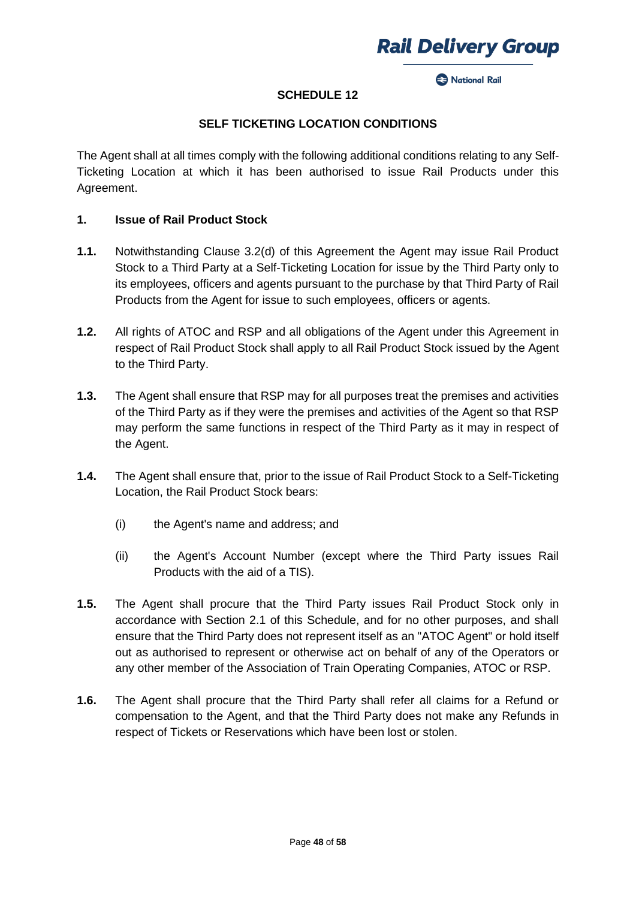

**Racional Rail** 

## **SCHEDULE 12**

## **SELF TICKETING LOCATION CONDITIONS**

The Agent shall at all times comply with the following additional conditions relating to any Self-Ticketing Location at which it has been authorised to issue Rail Products under this Agreement.

### **1. Issue of Rail Product Stock**

- **1.1.** Notwithstanding Clause 3.2(d) of this Agreement the Agent may issue Rail Product Stock to a Third Party at a Self-Ticketing Location for issue by the Third Party only to its employees, officers and agents pursuant to the purchase by that Third Party of Rail Products from the Agent for issue to such employees, officers or agents.
- **1.2.** All rights of ATOC and RSP and all obligations of the Agent under this Agreement in respect of Rail Product Stock shall apply to all Rail Product Stock issued by the Agent to the Third Party.
- **1.3.** The Agent shall ensure that RSP may for all purposes treat the premises and activities of the Third Party as if they were the premises and activities of the Agent so that RSP may perform the same functions in respect of the Third Party as it may in respect of the Agent.
- **1.4.** The Agent shall ensure that, prior to the issue of Rail Product Stock to a Self-Ticketing Location, the Rail Product Stock bears:
	- (i) the Agent's name and address; and
	- (ii) the Agent's Account Number (except where the Third Party issues Rail Products with the aid of a TIS).
- **1.5.** The Agent shall procure that the Third Party issues Rail Product Stock only in accordance with Section 2.1 of this Schedule, and for no other purposes, and shall ensure that the Third Party does not represent itself as an "ATOC Agent" or hold itself out as authorised to represent or otherwise act on behalf of any of the Operators or any other member of the Association of Train Operating Companies, ATOC or RSP.
- **1.6.** The Agent shall procure that the Third Party shall refer all claims for a Refund or compensation to the Agent, and that the Third Party does not make any Refunds in respect of Tickets or Reservations which have been lost or stolen.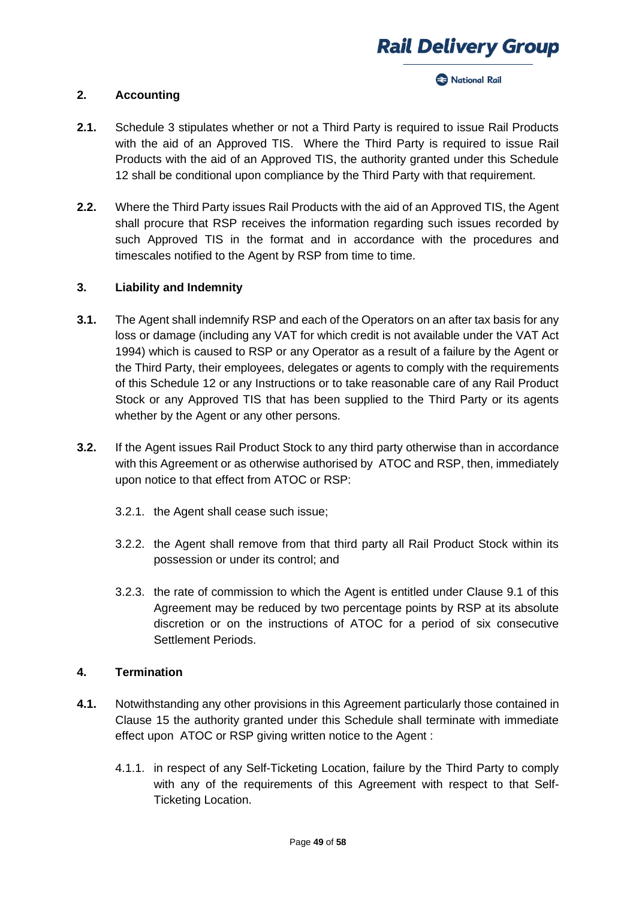#### **Racional Rail**

#### **2. Accounting**

- **2.1.** Schedule 3 stipulates whether or not a Third Party is required to issue Rail Products with the aid of an Approved TIS. Where the Third Party is required to issue Rail Products with the aid of an Approved TIS, the authority granted under this Schedule 12 shall be conditional upon compliance by the Third Party with that requirement.
- **2.2.** Where the Third Party issues Rail Products with the aid of an Approved TIS, the Agent shall procure that RSP receives the information regarding such issues recorded by such Approved TIS in the format and in accordance with the procedures and timescales notified to the Agent by RSP from time to time.

## **3. Liability and Indemnity**

- **3.1.** The Agent shall indemnify RSP and each of the Operators on an after tax basis for any loss or damage (including any VAT for which credit is not available under the VAT Act 1994) which is caused to RSP or any Operator as a result of a failure by the Agent or the Third Party, their employees, delegates or agents to comply with the requirements of this Schedule 12 or any Instructions or to take reasonable care of any Rail Product Stock or any Approved TIS that has been supplied to the Third Party or its agents whether by the Agent or any other persons.
- **3.2.** If the Agent issues Rail Product Stock to any third party otherwise than in accordance with this Agreement or as otherwise authorised by ATOC and RSP, then, immediately upon notice to that effect from ATOC or RSP:
	- 3.2.1. the Agent shall cease such issue;
	- 3.2.2. the Agent shall remove from that third party all Rail Product Stock within its possession or under its control; and
	- 3.2.3. the rate of commission to which the Agent is entitled under Clause 9.1 of this Agreement may be reduced by two percentage points by RSP at its absolute discretion or on the instructions of ATOC for a period of six consecutive Settlement Periods.

### **4. Termination**

- **4.1.** Notwithstanding any other provisions in this Agreement particularly those contained in Clause 15 the authority granted under this Schedule shall terminate with immediate effect upon ATOC or RSP giving written notice to the Agent :
	- 4.1.1. in respect of any Self-Ticketing Location, failure by the Third Party to comply with any of the requirements of this Agreement with respect to that Self-Ticketing Location.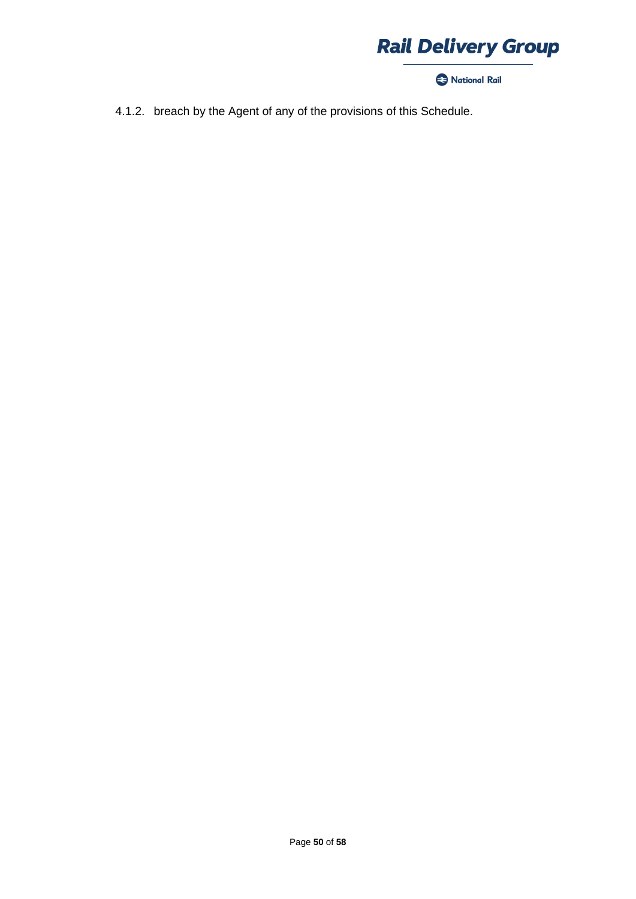

National Rail

4.1.2. breach by the Agent of any of the provisions of this Schedule.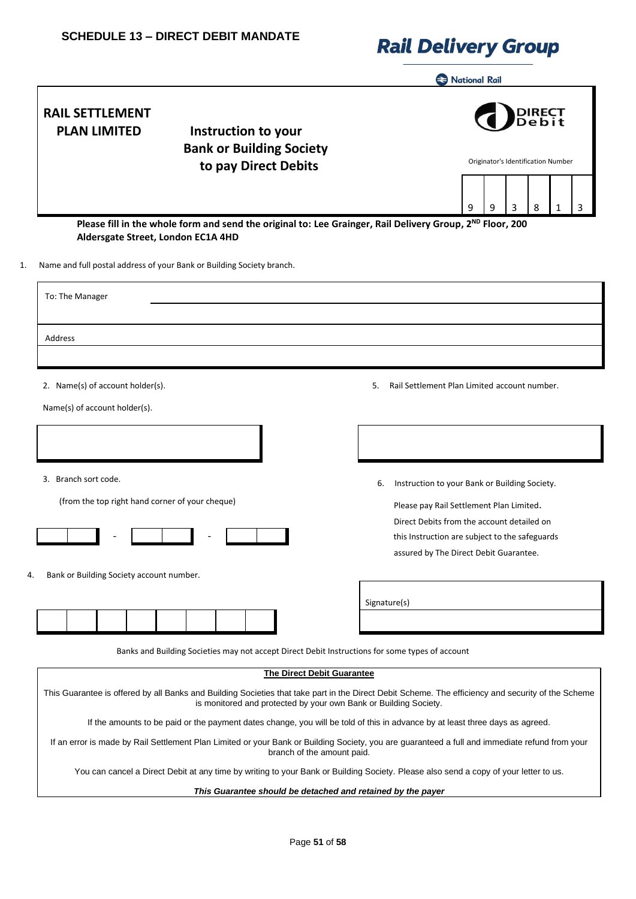|                                                                                                                                                                                                                                                                                                              | <b>Rational Rail</b>                                                                                                                   |  |  |  |  |
|--------------------------------------------------------------------------------------------------------------------------------------------------------------------------------------------------------------------------------------------------------------------------------------------------------------|----------------------------------------------------------------------------------------------------------------------------------------|--|--|--|--|
| <b>RAIL SETTLEMENT</b><br><b>PLAN LIMITED</b><br>Instruction to your<br><b>Bank or Building Society</b><br>to pay Direct Debits                                                                                                                                                                              | Originator's Identification Number                                                                                                     |  |  |  |  |
|                                                                                                                                                                                                                                                                                                              | 3<br>8<br>9<br>9<br>1<br>3                                                                                                             |  |  |  |  |
| Please fill in the whole form and send the original to: Lee Grainger, Rail Delivery Group, 2 <sup>ND</sup> Floor, 200<br>Aldersgate Street, London EC1A 4HD                                                                                                                                                  |                                                                                                                                        |  |  |  |  |
| Name and full postal address of your Bank or Building Society branch.                                                                                                                                                                                                                                        |                                                                                                                                        |  |  |  |  |
| To: The Manager                                                                                                                                                                                                                                                                                              |                                                                                                                                        |  |  |  |  |
| Address                                                                                                                                                                                                                                                                                                      |                                                                                                                                        |  |  |  |  |
| 2. Name(s) of account holder(s).<br>Name(s) of account holder(s).                                                                                                                                                                                                                                            | Rail Settlement Plan Limited account number.<br>5.                                                                                     |  |  |  |  |
| 3. Branch sort code.<br>(from the top right hand corner of your cheque)                                                                                                                                                                                                                                      | Instruction to your Bank or Building Society.<br>6.<br>Please pay Rail Settlement Plan Limited.                                        |  |  |  |  |
|                                                                                                                                                                                                                                                                                                              | Direct Debits from the account detailed on<br>this Instruction are subject to the safeguards<br>assured by The Direct Debit Guarantee. |  |  |  |  |
| Bank or Building Society account number.                                                                                                                                                                                                                                                                     | Signature(s)                                                                                                                           |  |  |  |  |
| Banks and Building Societies may not accept Direct Debit Instructions for some types of account                                                                                                                                                                                                              |                                                                                                                                        |  |  |  |  |
| <b>The Direct Debit Guarantee</b><br>This Guarantee is offered by all Banks and Building Societies that take part in the Direct Debit Scheme. The efficiency and security of the Scheme<br>is monitored and protected by your own Bank or Building Society.                                                  |                                                                                                                                        |  |  |  |  |
| If the amounts to be paid or the payment dates change, you will be told of this in advance by at least three days as agreed.<br>If an error is made by Rail Settlement Plan Limited or your Bank or Building Society, you are guaranteed a full and immediate refund from your<br>branch of the amount paid. |                                                                                                                                        |  |  |  |  |
| You can cancel a Direct Debit at any time by writing to your Bank or Building Society. Please also send a copy of your letter to us.                                                                                                                                                                         |                                                                                                                                        |  |  |  |  |
| This Guarantee should be detached and retained by the payer                                                                                                                                                                                                                                                  |                                                                                                                                        |  |  |  |  |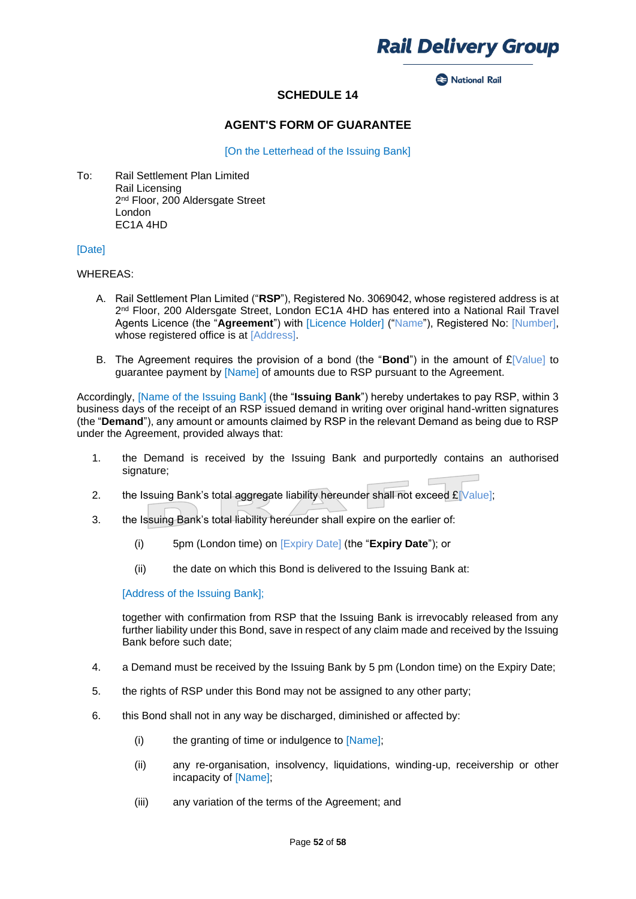

**2** National Rail

## **SCHEDULE 14**

#### **AGENT'S FORM OF GUARANTEE**

[On the Letterhead of the Issuing Bank]

To: Rail Settlement Plan Limited Rail Licensing 2<sup>nd</sup> Floor, 200 Aldersgate Street London EC1A 4HD

#### [Date]

#### WHEREAS:

- A. Rail Settlement Plan Limited ("**RSP**"), Registered No. 3069042, whose registered address is at 2<sup>nd</sup> Floor, 200 Aldersgate Street, London EC1A 4HD has entered into a National Rail Travel Agents Licence (the "**Agreement**") with [Licence Holder] ("Name"), Registered No: [Number], whose registered office is at [Address].
- B. The Agreement requires the provision of a bond (the "**Bond**") in the amount of  $E[V$ alue] to guarantee payment by [Name] of amounts due to RSP pursuant to the Agreement.

Accordingly, [Name of the Issuing Bank] (the "**Issuing Bank**") hereby undertakes to pay RSP, within 3 business days of the receipt of an RSP issued demand in writing over original hand-written signatures (the "**Demand**"), any amount or amounts claimed by RSP in the relevant Demand as being due to RSP under the Agreement, provided always that:

- 1. the Demand is received by the Issuing Bank and purportedly contains an authorised signature;
- 2. the Issuing Bank's total aggregate liability hereunder shall not exceed  $\mathbf{E}$ [Value];
- 3. the Issuing Bank's total liability hereunder shall expire on the earlier of:
	- (i) 5pm (London time) on [Expiry Date] (the "**Expiry Date**"); or
	- (ii) the date on which this Bond is delivered to the Issuing Bank at:

[Address of the Issuing Bank];

together with confirmation from RSP that the Issuing Bank is irrevocably released from any further liability under this Bond, save in respect of any claim made and received by the Issuing Bank before such date;

- 4. a Demand must be received by the Issuing Bank by 5 pm (London time) on the Expiry Date;
- 5. the rights of RSP under this Bond may not be assigned to any other party;
- 6. this Bond shall not in any way be discharged, diminished or affected by:
	- (i) the granting of time or indulgence to [Name];
	- (ii) any re-organisation, insolvency, liquidations, winding-up, receivership or other incapacity of [Name];
	- (iii) any variation of the terms of the Agreement; and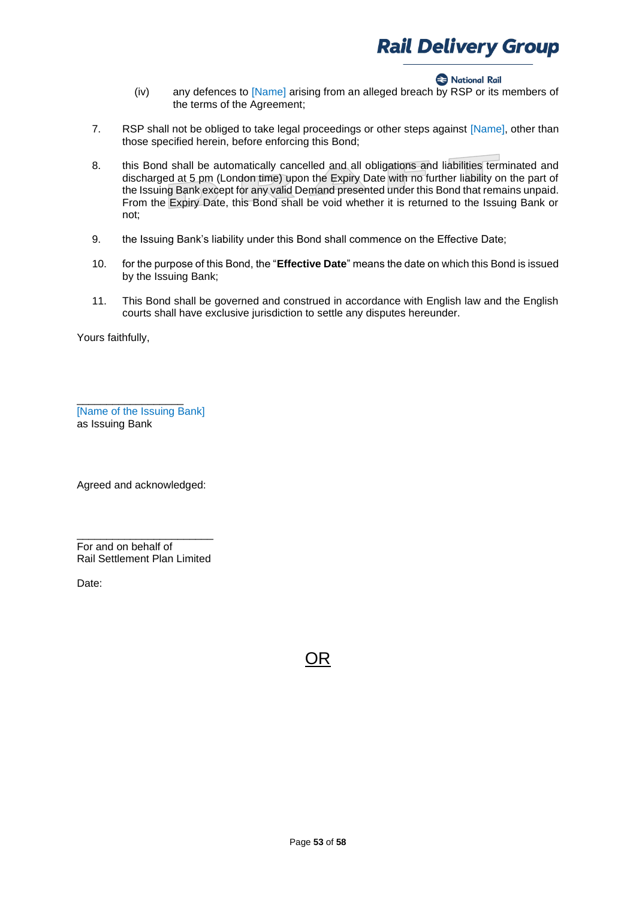#### **Rational Rail**

- (iv) any defences to [Name] arising from an alleged breach by RSP or its members of the terms of the Agreement;
- 7. RSP shall not be obliged to take legal proceedings or other steps against [Name], other than those specified herein, before enforcing this Bond;
- 8. this Bond shall be automatically cancelled and all obligations and liabilities terminated and discharged at 5 pm (London time) upon the Expiry Date with no further liability on the part of the Issuing Bank except for any valid Demand presented under this Bond that remains unpaid. From the Expiry Date, this Bond shall be void whether it is returned to the Issuing Bank or not;
- 9. the Issuing Bank's liability under this Bond shall commence on the Effective Date;
- 10. for the purpose of this Bond, the "**Effective Date**" means the date on which this Bond is issued by the Issuing Bank;
- 11. This Bond shall be governed and construed in accordance with English law and the English courts shall have exclusive jurisdiction to settle any disputes hereunder.

Yours faithfully,

[Name of the Issuing Bank] as Issuing Bank

\_\_\_\_\_\_\_\_\_\_\_\_\_\_\_\_\_\_

Agreed and acknowledged:

\_\_\_\_\_\_\_\_\_\_\_\_\_\_\_\_\_\_\_\_\_\_\_ For and on behalf of Rail Settlement Plan Limited

Date:

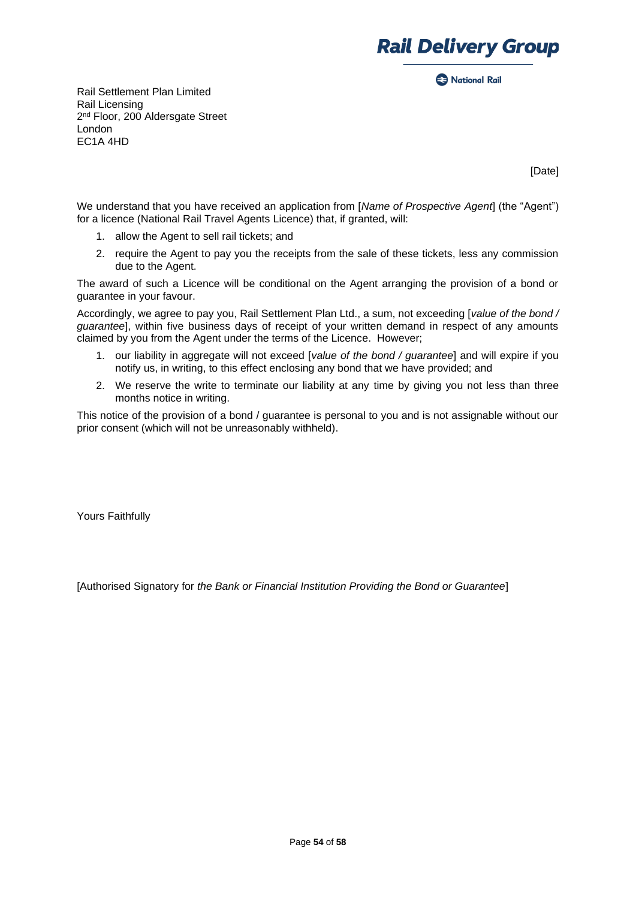

**Rack National Rail** 

Rail Settlement Plan Limited Rail Licensing 2<sup>nd</sup> Floor, 200 Aldersgate Street London EC1A 4HD

[Date]

We understand that you have received an application from [*Name of Prospective Agent*] (the "Agent") for a licence (National Rail Travel Agents Licence) that, if granted, will:

- 1. allow the Agent to sell rail tickets; and
- 2. require the Agent to pay you the receipts from the sale of these tickets, less any commission due to the Agent.

The award of such a Licence will be conditional on the Agent arranging the provision of a bond or guarantee in your favour.

Accordingly, we agree to pay you, Rail Settlement Plan Ltd., a sum, not exceeding [*value of the bond / guarantee*], within five business days of receipt of your written demand in respect of any amounts claimed by you from the Agent under the terms of the Licence. However;

- 1. our liability in aggregate will not exceed [*value of the bond / guarantee*] and will expire if you notify us, in writing, to this effect enclosing any bond that we have provided; and
- 2. We reserve the write to terminate our liability at any time by giving you not less than three months notice in writing.

This notice of the provision of a bond / guarantee is personal to you and is not assignable without our prior consent (which will not be unreasonably withheld).

Yours Faithfully

[Authorised Signatory for *the Bank or Financial Institution Providing the Bond or Guarantee*]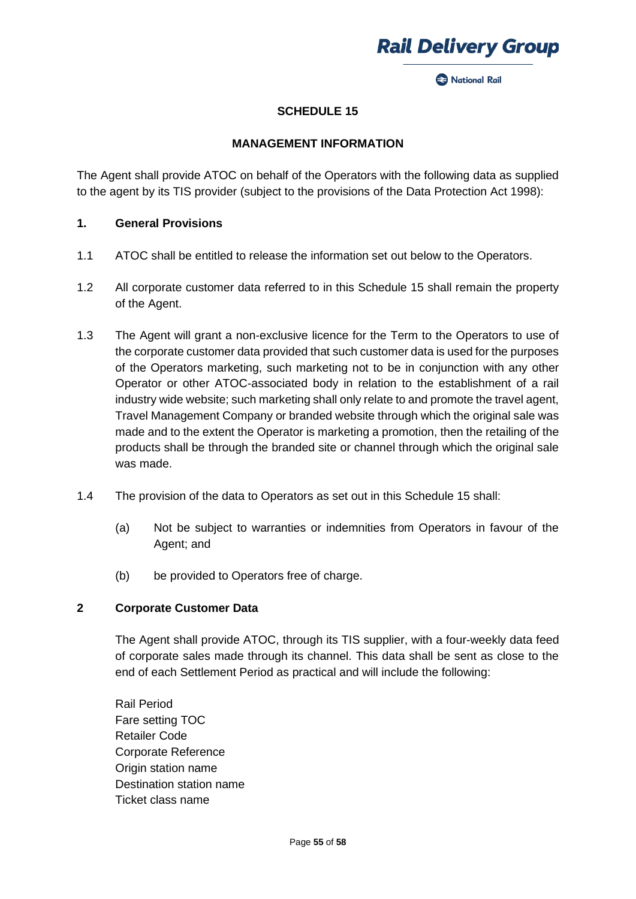

**Racional Rail** 

### **SCHEDULE 15**

#### **MANAGEMENT INFORMATION**

The Agent shall provide ATOC on behalf of the Operators with the following data as supplied to the agent by its TIS provider (subject to the provisions of the Data Protection Act 1998):

#### **1. General Provisions**

- 1.1 ATOC shall be entitled to release the information set out below to the Operators.
- 1.2 All corporate customer data referred to in this Schedule 15 shall remain the property of the Agent.
- 1.3 The Agent will grant a non-exclusive licence for the Term to the Operators to use of the corporate customer data provided that such customer data is used for the purposes of the Operators marketing, such marketing not to be in conjunction with any other Operator or other ATOC-associated body in relation to the establishment of a rail industry wide website; such marketing shall only relate to and promote the travel agent, Travel Management Company or branded website through which the original sale was made and to the extent the Operator is marketing a promotion, then the retailing of the products shall be through the branded site or channel through which the original sale was made.
- 1.4 The provision of the data to Operators as set out in this Schedule 15 shall:
	- (a) Not be subject to warranties or indemnities from Operators in favour of the Agent; and
	- (b) be provided to Operators free of charge.

## **2 Corporate Customer Data**

The Agent shall provide ATOC, through its TIS supplier, with a four-weekly data feed of corporate sales made through its channel. This data shall be sent as close to the end of each Settlement Period as practical and will include the following:

Rail Period Fare setting TOC Retailer Code Corporate Reference Origin station name Destination station name Ticket class name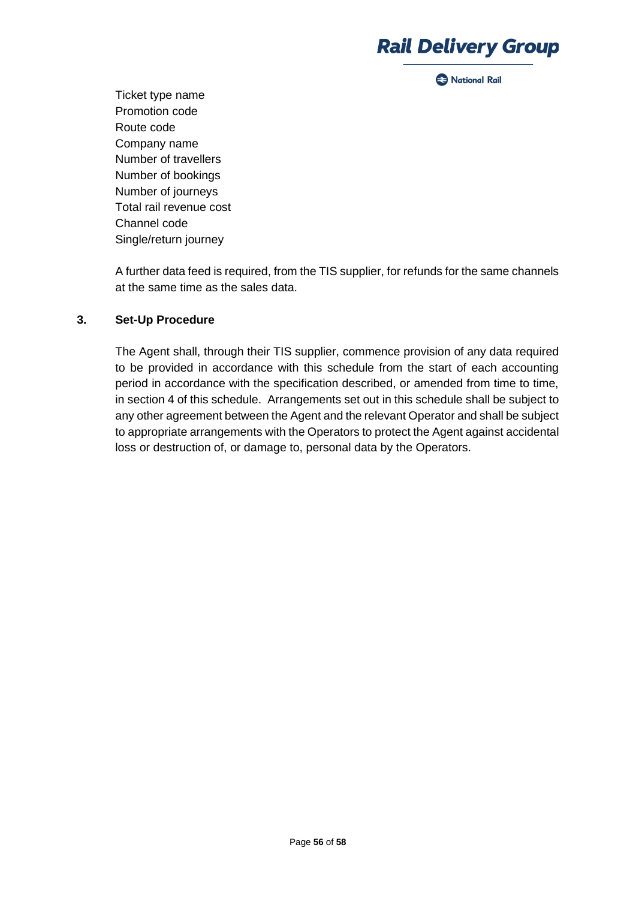**2** National Rail

Ticket type name Promotion code Route code Company name Number of travellers Number of bookings Number of journeys Total rail revenue cost Channel code Single/return journey

A further data feed is required, from the TIS supplier, for refunds for the same channels at the same time as the sales data.

### **3. Set-Up Procedure**

The Agent shall, through their TIS supplier, commence provision of any data required to be provided in accordance with this schedule from the start of each accounting period in accordance with the specification described, or amended from time to time, in section 4 of this schedule. Arrangements set out in this schedule shall be subject to any other agreement between the Agent and the relevant Operator and shall be subject to appropriate arrangements with the Operators to protect the Agent against accidental loss or destruction of, or damage to, personal data by the Operators.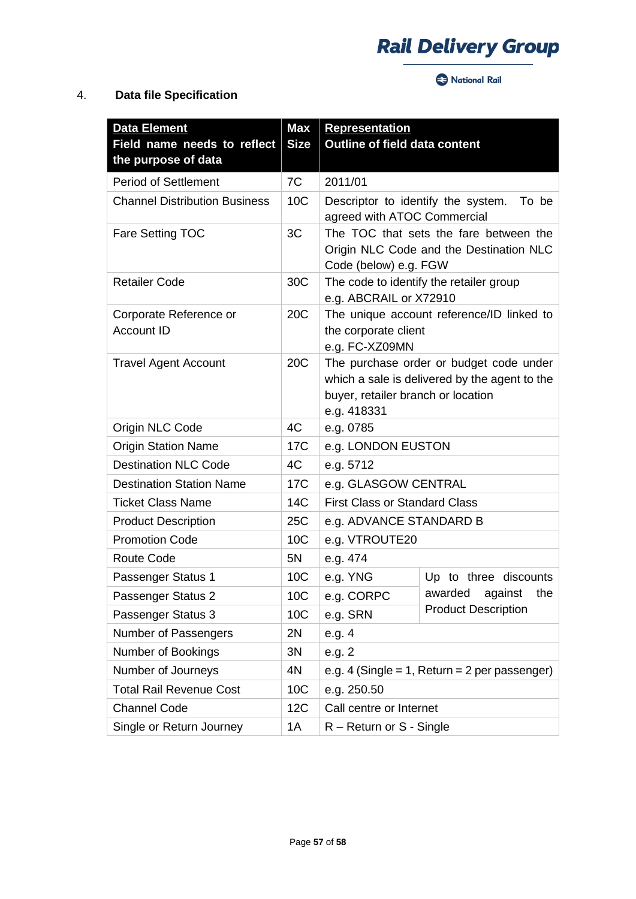National Rail

## 4. **Data file Specification**

| <b>Data Element</b><br>Field name needs to reflect | <b>Max</b><br><b>Size</b> | <b>Representation</b><br><b>Outline of field data content</b>                                                                                 |                            |
|----------------------------------------------------|---------------------------|-----------------------------------------------------------------------------------------------------------------------------------------------|----------------------------|
| the purpose of data<br><b>Period of Settlement</b> | 7C                        | 2011/01                                                                                                                                       |                            |
| <b>Channel Distribution Business</b>               | 10C                       | Descriptor to identify the system.<br>To be<br>agreed with ATOC Commercial                                                                    |                            |
| Fare Setting TOC                                   | 3C                        | The TOC that sets the fare between the<br>Origin NLC Code and the Destination NLC<br>Code (below) e.g. FGW                                    |                            |
| <b>Retailer Code</b>                               | 30C                       | The code to identify the retailer group<br>e.g. ABCRAIL or X72910                                                                             |                            |
| Corporate Reference or<br><b>Account ID</b>        | 20 <sub>C</sub>           | The unique account reference/ID linked to<br>the corporate client<br>e.g. FC-XZ09MN                                                           |                            |
| <b>Travel Agent Account</b>                        | 20 <sub>C</sub>           | The purchase order or budget code under<br>which a sale is delivered by the agent to the<br>buyer, retailer branch or location<br>e.g. 418331 |                            |
| Origin NLC Code                                    | 4C                        | e.g. 0785                                                                                                                                     |                            |
| <b>Origin Station Name</b>                         | 17C                       | e.g. LONDON EUSTON                                                                                                                            |                            |
| <b>Destination NLC Code</b>                        | 4C                        | e.g. 5712                                                                                                                                     |                            |
| <b>Destination Station Name</b>                    | 17C                       | e.g. GLASGOW CENTRAL                                                                                                                          |                            |
| <b>Ticket Class Name</b>                           | 14C                       | <b>First Class or Standard Class</b>                                                                                                          |                            |
| <b>Product Description</b>                         | 25C                       | e.g. ADVANCE STANDARD B                                                                                                                       |                            |
| <b>Promotion Code</b>                              | 10C                       | e.g. VTROUTE20                                                                                                                                |                            |
| <b>Route Code</b>                                  | 5N                        | e.g. 474                                                                                                                                      |                            |
| Passenger Status 1                                 | 10 <sub>C</sub>           | e.g. YNG                                                                                                                                      | Up to three discounts      |
| Passenger Status 2                                 | 10C                       | e.g. CORPC                                                                                                                                    | awarded against the        |
| Passenger Status 3                                 | 10C                       | e.g. SRN                                                                                                                                      | <b>Product Description</b> |
| Number of Passengers                               | 2N                        | e.g. 4                                                                                                                                        |                            |
| Number of Bookings                                 | 3N                        | e.g. 2                                                                                                                                        |                            |
| Number of Journeys                                 | 4N                        | e.g. 4 (Single = 1, Return = 2 per passenger)                                                                                                 |                            |
| <b>Total Rail Revenue Cost</b>                     | 10 <sub>C</sub>           | e.g. 250.50                                                                                                                                   |                            |
| <b>Channel Code</b>                                | 12C                       | Call centre or Internet                                                                                                                       |                            |
| Single or Return Journey                           | 1A                        | R – Return or S - Single                                                                                                                      |                            |